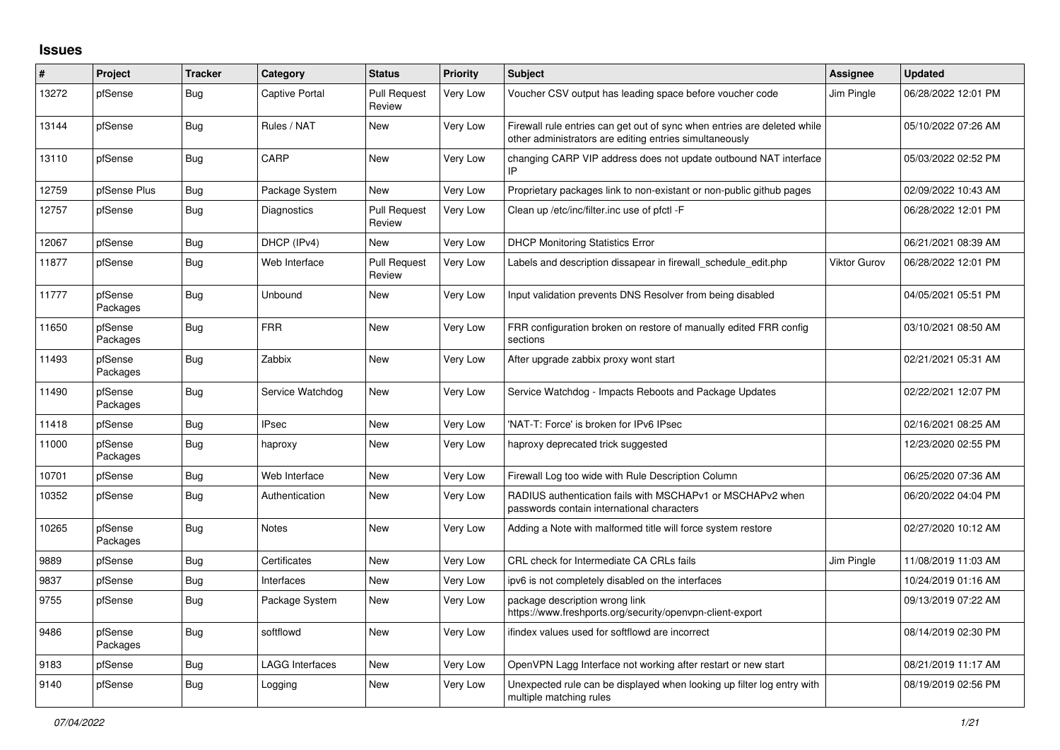## **Issues**

| #     | Project             | <b>Tracker</b> | Category               | <b>Status</b>                 | <b>Priority</b> | <b>Subject</b>                                                                                                                      | Assignee            | <b>Updated</b>      |
|-------|---------------------|----------------|------------------------|-------------------------------|-----------------|-------------------------------------------------------------------------------------------------------------------------------------|---------------------|---------------------|
| 13272 | pfSense             | Bug            | <b>Captive Portal</b>  | <b>Pull Request</b><br>Review | Very Low        | Voucher CSV output has leading space before voucher code                                                                            | Jim Pingle          | 06/28/2022 12:01 PM |
| 13144 | pfSense             | Bug            | Rules / NAT            | New                           | Very Low        | Firewall rule entries can get out of sync when entries are deleted while<br>other administrators are editing entries simultaneously |                     | 05/10/2022 07:26 AM |
| 13110 | pfSense             | Bug            | CARP                   | New                           | Very Low        | changing CARP VIP address does not update outbound NAT interface<br>IP                                                              |                     | 05/03/2022 02:52 PM |
| 12759 | pfSense Plus        | Bug            | Package System         | New                           | Very Low        | Proprietary packages link to non-existant or non-public github pages                                                                |                     | 02/09/2022 10:43 AM |
| 12757 | pfSense             | Bug            | <b>Diagnostics</b>     | <b>Pull Request</b><br>Review | Very Low        | Clean up /etc/inc/filter.inc use of pfctl -F                                                                                        |                     | 06/28/2022 12:01 PM |
| 12067 | pfSense             | Bug            | DHCP (IPv4)            | <b>New</b>                    | Very Low        | <b>DHCP Monitoring Statistics Error</b>                                                                                             |                     | 06/21/2021 08:39 AM |
| 11877 | pfSense             | Bug            | Web Interface          | <b>Pull Request</b><br>Review | Very Low        | Labels and description dissapear in firewall schedule edit.php                                                                      | <b>Viktor Gurov</b> | 06/28/2022 12:01 PM |
| 11777 | pfSense<br>Packages | Bug            | Unbound                | New                           | Very Low        | Input validation prevents DNS Resolver from being disabled                                                                          |                     | 04/05/2021 05:51 PM |
| 11650 | pfSense<br>Packages | Bug            | <b>FRR</b>             | New                           | Very Low        | FRR configuration broken on restore of manually edited FRR config<br>sections                                                       |                     | 03/10/2021 08:50 AM |
| 11493 | pfSense<br>Packages | Bug            | Zabbix                 | <b>New</b>                    | Very Low        | After upgrade zabbix proxy wont start                                                                                               |                     | 02/21/2021 05:31 AM |
| 11490 | pfSense<br>Packages | Bug            | Service Watchdog       | New                           | Very Low        | Service Watchdog - Impacts Reboots and Package Updates                                                                              |                     | 02/22/2021 12:07 PM |
| 11418 | pfSense             | Bug            | <b>IPsec</b>           | New                           | Very Low        | 'NAT-T: Force' is broken for IPv6 IPsec                                                                                             |                     | 02/16/2021 08:25 AM |
| 11000 | pfSense<br>Packages | <b>Bug</b>     | haproxy                | <b>New</b>                    | Very Low        | haproxy deprecated trick suggested                                                                                                  |                     | 12/23/2020 02:55 PM |
| 10701 | pfSense             | Bug            | Web Interface          | New                           | Very Low        | Firewall Log too wide with Rule Description Column                                                                                  |                     | 06/25/2020 07:36 AM |
| 10352 | pfSense             | Bug            | Authentication         | <b>New</b>                    | Very Low        | RADIUS authentication fails with MSCHAPv1 or MSCHAPv2 when<br>passwords contain international characters                            |                     | 06/20/2022 04:04 PM |
| 10265 | pfSense<br>Packages | Bug            | <b>Notes</b>           | <b>New</b>                    | Very Low        | Adding a Note with malformed title will force system restore                                                                        |                     | 02/27/2020 10:12 AM |
| 9889  | pfSense             | Bug            | Certificates           | New                           | Very Low        | CRL check for Intermediate CA CRLs fails                                                                                            | Jim Pingle          | 11/08/2019 11:03 AM |
| 9837  | pfSense             | <b>Bug</b>     | Interfaces             | New                           | Very Low        | ipv6 is not completely disabled on the interfaces                                                                                   |                     | 10/24/2019 01:16 AM |
| 9755  | pfSense             | Bug            | Package System         | <b>New</b>                    | Very Low        | package description wrong link<br>https://www.freshports.org/security/openvpn-client-export                                         |                     | 09/13/2019 07:22 AM |
| 9486  | pfSense<br>Packages | <b>Bug</b>     | softflowd              | <b>New</b>                    | Very Low        | ifindex values used for softflowd are incorrect                                                                                     |                     | 08/14/2019 02:30 PM |
| 9183  | pfSense             | <b>Bug</b>     | <b>LAGG Interfaces</b> | New                           | Very Low        | OpenVPN Lagg Interface not working after restart or new start                                                                       |                     | 08/21/2019 11:17 AM |
| 9140  | pfSense             | Bug            | Logging                | New                           | Very Low        | Unexpected rule can be displayed when looking up filter log entry with<br>multiple matching rules                                   |                     | 08/19/2019 02:56 PM |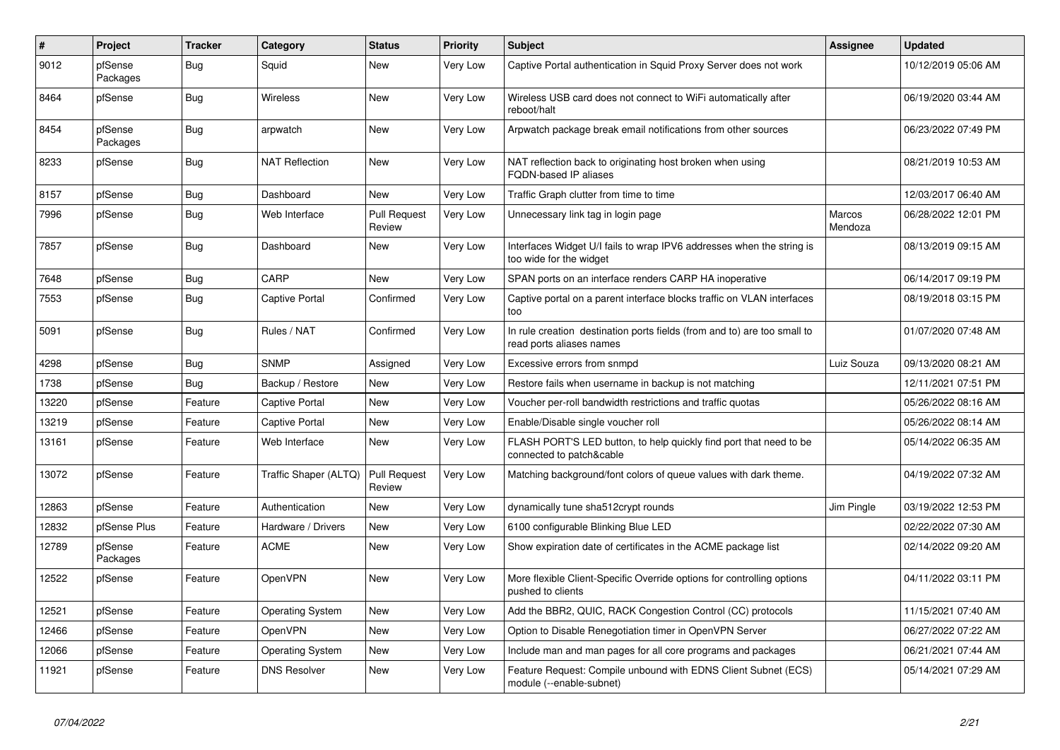| #     | Project             | <b>Tracker</b> | Category                | <b>Status</b>                 | <b>Priority</b> | <b>Subject</b>                                                                                       | <b>Assignee</b>   | <b>Updated</b>      |
|-------|---------------------|----------------|-------------------------|-------------------------------|-----------------|------------------------------------------------------------------------------------------------------|-------------------|---------------------|
| 9012  | pfSense<br>Packages | Bug            | Squid                   | New                           | Very Low        | Captive Portal authentication in Squid Proxy Server does not work                                    |                   | 10/12/2019 05:06 AM |
| 8464  | pfSense             | <b>Bug</b>     | Wireless                | New                           | Very Low        | Wireless USB card does not connect to WiFi automatically after<br>reboot/halt                        |                   | 06/19/2020 03:44 AM |
| 8454  | pfSense<br>Packages | Bug            | arpwatch                | <b>New</b>                    | Very Low        | Arpwatch package break email notifications from other sources                                        |                   | 06/23/2022 07:49 PM |
| 8233  | pfSense             | <b>Bug</b>     | <b>NAT Reflection</b>   | New                           | Very Low        | NAT reflection back to originating host broken when using<br><b>FQDN-based IP aliases</b>            |                   | 08/21/2019 10:53 AM |
| 8157  | pfSense             | Bug            | Dashboard               | <b>New</b>                    | Very Low        | Traffic Graph clutter from time to time                                                              |                   | 12/03/2017 06:40 AM |
| 7996  | pfSense             | Bug            | Web Interface           | <b>Pull Request</b><br>Review | Very Low        | Unnecessary link tag in login page                                                                   | Marcos<br>Mendoza | 06/28/2022 12:01 PM |
| 7857  | pfSense             | <b>Bug</b>     | Dashboard               | New                           | Very Low        | Interfaces Widget U/I fails to wrap IPV6 addresses when the string is<br>too wide for the widget     |                   | 08/13/2019 09:15 AM |
| 7648  | pfSense             | Bug            | CARP                    | New                           | Very Low        | SPAN ports on an interface renders CARP HA inoperative                                               |                   | 06/14/2017 09:19 PM |
| 7553  | pfSense             | <b>Bug</b>     | <b>Captive Portal</b>   | Confirmed                     | Very Low        | Captive portal on a parent interface blocks traffic on VLAN interfaces<br>too                        |                   | 08/19/2018 03:15 PM |
| 5091  | pfSense             | <b>Bug</b>     | Rules / NAT             | Confirmed                     | Very Low        | In rule creation destination ports fields (from and to) are too small to<br>read ports aliases names |                   | 01/07/2020 07:48 AM |
| 4298  | pfSense             | Bug            | <b>SNMP</b>             | Assigned                      | Very Low        | Excessive errors from snmpd                                                                          | Luiz Souza        | 09/13/2020 08:21 AM |
| 1738  | pfSense             | Bug            | Backup / Restore        | New                           | Very Low        | Restore fails when username in backup is not matching                                                |                   | 12/11/2021 07:51 PM |
| 13220 | pfSense             | Feature        | Captive Portal          | New                           | Very Low        | Voucher per-roll bandwidth restrictions and traffic quotas                                           |                   | 05/26/2022 08:16 AM |
| 13219 | pfSense             | Feature        | <b>Captive Portal</b>   | New                           | Very Low        | Enable/Disable single voucher roll                                                                   |                   | 05/26/2022 08:14 AM |
| 13161 | pfSense             | Feature        | Web Interface           | New                           | Very Low        | FLASH PORT'S LED button, to help quickly find port that need to be<br>connected to patch&cable       |                   | 05/14/2022 06:35 AM |
| 13072 | pfSense             | Feature        | Traffic Shaper (ALTQ)   | <b>Pull Request</b><br>Review | Very Low        | Matching background/font colors of queue values with dark theme.                                     |                   | 04/19/2022 07:32 AM |
| 12863 | pfSense             | Feature        | Authentication          | New                           | Very Low        | dynamically tune sha512crypt rounds                                                                  | Jim Pingle        | 03/19/2022 12:53 PM |
| 12832 | pfSense Plus        | Feature        | Hardware / Drivers      | New                           | Very Low        | 6100 configurable Blinking Blue LED                                                                  |                   | 02/22/2022 07:30 AM |
| 12789 | pfSense<br>Packages | Feature        | <b>ACME</b>             | New                           | Very Low        | Show expiration date of certificates in the ACME package list                                        |                   | 02/14/2022 09:20 AM |
| 12522 | pfSense             | Feature        | OpenVPN                 | New                           | Very Low        | More flexible Client-Specific Override options for controlling options<br>pushed to clients          |                   | 04/11/2022 03:11 PM |
| 12521 | pfSense             | Feature        | <b>Operating System</b> | New                           | Very Low        | Add the BBR2, QUIC, RACK Congestion Control (CC) protocols                                           |                   | 11/15/2021 07:40 AM |
| 12466 | pfSense             | Feature        | OpenVPN                 | <b>New</b>                    | Very Low        | Option to Disable Renegotiation timer in OpenVPN Server                                              |                   | 06/27/2022 07:22 AM |
| 12066 | pfSense             | Feature        | <b>Operating System</b> | New                           | Very Low        | Include man and man pages for all core programs and packages                                         |                   | 06/21/2021 07:44 AM |
| 11921 | pfSense             | Feature        | <b>DNS Resolver</b>     | <b>New</b>                    | Very Low        | Feature Request: Compile unbound with EDNS Client Subnet (ECS)<br>module (--enable-subnet)           |                   | 05/14/2021 07:29 AM |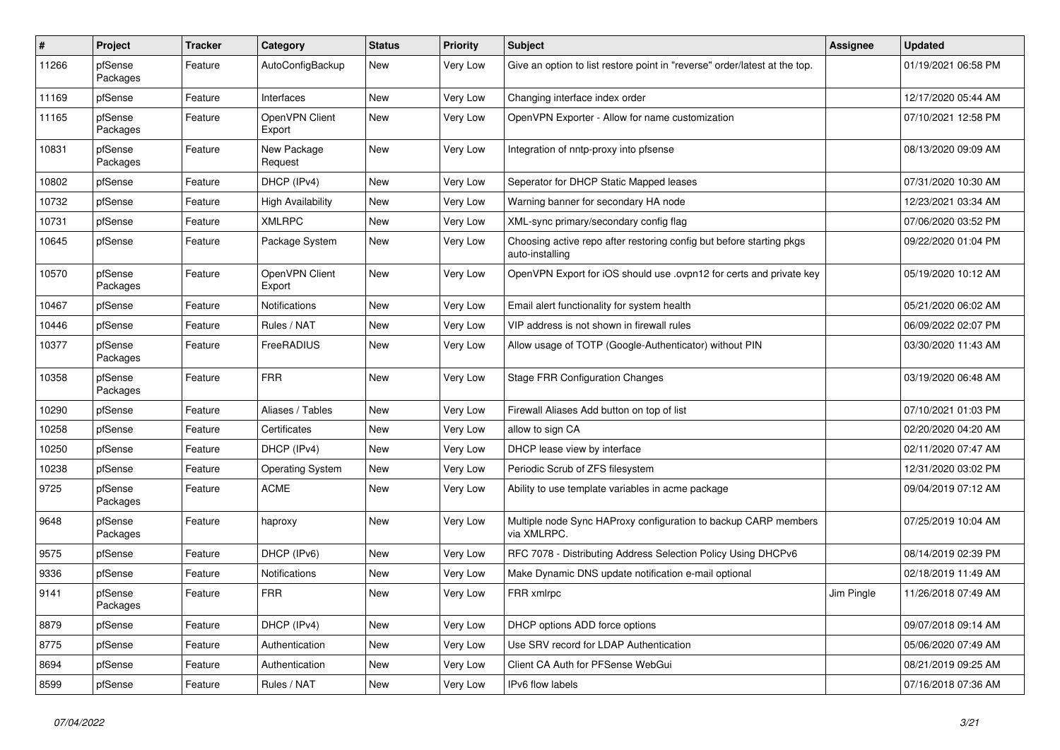| #     | Project             | <b>Tracker</b> | Category                 | <b>Status</b> | <b>Priority</b> | Subject                                                                                 | <b>Assignee</b> | <b>Updated</b>      |
|-------|---------------------|----------------|--------------------------|---------------|-----------------|-----------------------------------------------------------------------------------------|-----------------|---------------------|
| 11266 | pfSense<br>Packages | Feature        | AutoConfigBackup         | New           | Very Low        | Give an option to list restore point in "reverse" order/latest at the top.              |                 | 01/19/2021 06:58 PM |
| 11169 | pfSense             | Feature        | Interfaces               | <b>New</b>    | Very Low        | Changing interface index order                                                          |                 | 12/17/2020 05:44 AM |
| 11165 | pfSense<br>Packages | Feature        | OpenVPN Client<br>Export | New           | Very Low        | OpenVPN Exporter - Allow for name customization                                         |                 | 07/10/2021 12:58 PM |
| 10831 | pfSense<br>Packages | Feature        | New Package<br>Request   | New           | Very Low        | Integration of nntp-proxy into pfsense                                                  |                 | 08/13/2020 09:09 AM |
| 10802 | pfSense             | Feature        | DHCP (IPv4)              | New           | Very Low        | Seperator for DHCP Static Mapped leases                                                 |                 | 07/31/2020 10:30 AM |
| 10732 | pfSense             | Feature        | <b>High Availability</b> | New           | Very Low        | Warning banner for secondary HA node                                                    |                 | 12/23/2021 03:34 AM |
| 10731 | pfSense             | Feature        | <b>XMLRPC</b>            | <b>New</b>    | Very Low        | XML-sync primary/secondary config flag                                                  |                 | 07/06/2020 03:52 PM |
| 10645 | pfSense             | Feature        | Package System           | New           | Very Low        | Choosing active repo after restoring config but before starting pkgs<br>auto-installing |                 | 09/22/2020 01:04 PM |
| 10570 | pfSense<br>Packages | Feature        | OpenVPN Client<br>Export | <b>New</b>    | Very Low        | OpenVPN Export for iOS should use .ovpn12 for certs and private key                     |                 | 05/19/2020 10:12 AM |
| 10467 | pfSense             | Feature        | Notifications            | New           | Very Low        | Email alert functionality for system health                                             |                 | 05/21/2020 06:02 AM |
| 10446 | pfSense             | Feature        | Rules / NAT              | New           | Very Low        | VIP address is not shown in firewall rules                                              |                 | 06/09/2022 02:07 PM |
| 10377 | pfSense<br>Packages | Feature        | FreeRADIUS               | New           | Very Low        | Allow usage of TOTP (Google-Authenticator) without PIN                                  |                 | 03/30/2020 11:43 AM |
| 10358 | pfSense<br>Packages | Feature        | <b>FRR</b>               | <b>New</b>    | Very Low        | <b>Stage FRR Configuration Changes</b>                                                  |                 | 03/19/2020 06:48 AM |
| 10290 | pfSense             | Feature        | Aliases / Tables         | New           | Very Low        | Firewall Aliases Add button on top of list                                              |                 | 07/10/2021 01:03 PM |
| 10258 | pfSense             | Feature        | Certificates             | New           | Very Low        | allow to sign CA                                                                        |                 | 02/20/2020 04:20 AM |
| 10250 | pfSense             | Feature        | DHCP (IPv4)              | New           | Very Low        | DHCP lease view by interface                                                            |                 | 02/11/2020 07:47 AM |
| 10238 | pfSense             | Feature        | <b>Operating System</b>  | New           | Very Low        | Periodic Scrub of ZFS filesystem                                                        |                 | 12/31/2020 03:02 PM |
| 9725  | pfSense<br>Packages | Feature        | <b>ACME</b>              | <b>New</b>    | Very Low        | Ability to use template variables in acme package                                       |                 | 09/04/2019 07:12 AM |
| 9648  | pfSense<br>Packages | Feature        | haproxy                  | <b>New</b>    | Very Low        | Multiple node Sync HAProxy configuration to backup CARP members<br>via XMLRPC.          |                 | 07/25/2019 10:04 AM |
| 9575  | pfSense             | Feature        | DHCP (IPv6)              | <b>New</b>    | Very Low        | RFC 7078 - Distributing Address Selection Policy Using DHCPv6                           |                 | 08/14/2019 02:39 PM |
| 9336  | pfSense             | Feature        | Notifications            | <b>New</b>    | Very Low        | Make Dynamic DNS update notification e-mail optional                                    |                 | 02/18/2019 11:49 AM |
| 9141  | pfSense<br>Packages | Feature        | <b>FRR</b>               | <b>New</b>    | Very Low        | FRR xmlrpc                                                                              | Jim Pingle      | 11/26/2018 07:49 AM |
| 8879  | pfSense             | Feature        | DHCP (IPv4)              | New           | Very Low        | DHCP options ADD force options                                                          |                 | 09/07/2018 09:14 AM |
| 8775  | pfSense             | Feature        | Authentication           | New           | Very Low        | Use SRV record for LDAP Authentication                                                  |                 | 05/06/2020 07:49 AM |
| 8694  | pfSense             | Feature        | Authentication           | New           | Very Low        | Client CA Auth for PFSense WebGui                                                       |                 | 08/21/2019 09:25 AM |
| 8599  | pfSense             | Feature        | Rules / NAT              | New           | Very Low        | IPv6 flow labels                                                                        |                 | 07/16/2018 07:36 AM |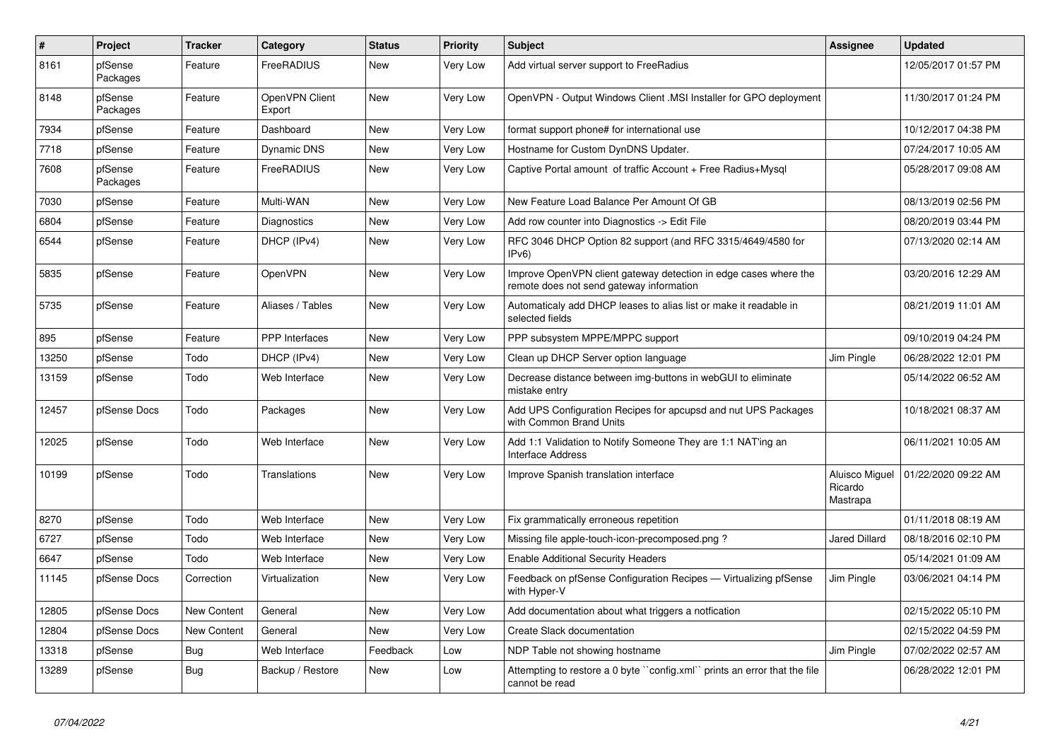| ∦     | <b>Project</b>      | <b>Tracker</b> | Category                 | <b>Status</b> | <b>Priority</b> | <b>Subject</b>                                                                                               | <b>Assignee</b>                              | <b>Updated</b>      |
|-------|---------------------|----------------|--------------------------|---------------|-----------------|--------------------------------------------------------------------------------------------------------------|----------------------------------------------|---------------------|
| 8161  | pfSense<br>Packages | Feature        | <b>FreeRADIUS</b>        | New           | Very Low        | Add virtual server support to FreeRadius                                                                     |                                              | 12/05/2017 01:57 PM |
| 8148  | pfSense<br>Packages | Feature        | OpenVPN Client<br>Export | New           | Very Low        | OpenVPN - Output Windows Client .MSI Installer for GPO deployment                                            |                                              | 11/30/2017 01:24 PM |
| 7934  | pfSense             | Feature        | Dashboard                | <b>New</b>    | Very Low        | format support phone# for international use                                                                  |                                              | 10/12/2017 04:38 PM |
| 7718  | pfSense             | Feature        | <b>Dynamic DNS</b>       | New           | Very Low        | Hostname for Custom DynDNS Updater.                                                                          |                                              | 07/24/2017 10:05 AM |
| 7608  | pfSense<br>Packages | Feature        | <b>FreeRADIUS</b>        | <b>New</b>    | Very Low        | Captive Portal amount of traffic Account + Free Radius+Mysql                                                 |                                              | 05/28/2017 09:08 AM |
| 7030  | pfSense             | Feature        | Multi-WAN                | New           | Very Low        | New Feature Load Balance Per Amount Of GB                                                                    |                                              | 08/13/2019 02:56 PM |
| 6804  | pfSense             | Feature        | <b>Diagnostics</b>       | New           | Very Low        | Add row counter into Diagnostics -> Edit File                                                                |                                              | 08/20/2019 03:44 PM |
| 6544  | pfSense             | Feature        | DHCP (IPv4)              | New           | Very Low        | RFC 3046 DHCP Option 82 support (and RFC 3315/4649/4580 for<br>IPv6                                          |                                              | 07/13/2020 02:14 AM |
| 5835  | pfSense             | Feature        | OpenVPN                  | New           | Very Low        | Improve OpenVPN client gateway detection in edge cases where the<br>remote does not send gateway information |                                              | 03/20/2016 12:29 AM |
| 5735  | pfSense             | Feature        | Aliases / Tables         | <b>New</b>    | Very Low        | Automaticaly add DHCP leases to alias list or make it readable in<br>selected fields                         |                                              | 08/21/2019 11:01 AM |
| 895   | pfSense             | Feature        | PPP Interfaces           | New           | Very Low        | PPP subsystem MPPE/MPPC support                                                                              |                                              | 09/10/2019 04:24 PM |
| 13250 | pfSense             | Todo           | DHCP (IPv4)              | New           | Very Low        | Clean up DHCP Server option language                                                                         | Jim Pingle                                   | 06/28/2022 12:01 PM |
| 13159 | pfSense             | Todo           | Web Interface            | New           | Very Low        | Decrease distance between img-buttons in webGUI to eliminate<br>mistake entry                                |                                              | 05/14/2022 06:52 AM |
| 12457 | pfSense Docs        | Todo           | Packages                 | New           | Very Low        | Add UPS Configuration Recipes for apcupsd and nut UPS Packages<br>with Common Brand Units                    |                                              | 10/18/2021 08:37 AM |
| 12025 | pfSense             | Todo           | Web Interface            | <b>New</b>    | Very Low        | Add 1:1 Validation to Notify Someone They are 1:1 NAT'ing an<br>Interface Address                            |                                              | 06/11/2021 10:05 AM |
| 10199 | pfSense             | Todo           | Translations             | New           | Very Low        | Improve Spanish translation interface                                                                        | <b>Aluisco Miguel</b><br>Ricardo<br>Mastrapa | 01/22/2020 09:22 AM |
| 8270  | pfSense             | Todo           | Web Interface            | New           | Very Low        | Fix grammatically erroneous repetition                                                                       |                                              | 01/11/2018 08:19 AM |
| 6727  | pfSense             | Todo           | Web Interface            | <b>New</b>    | Very Low        | Missing file apple-touch-icon-precomposed.png?                                                               | <b>Jared Dillard</b>                         | 08/18/2016 02:10 PM |
| 6647  | pfSense             | Todo           | Web Interface            | <b>New</b>    | Very Low        | <b>Enable Additional Security Headers</b>                                                                    |                                              | 05/14/2021 01:09 AM |
| 11145 | pfSense Docs        | Correction     | Virtualization           | <b>New</b>    | Very Low        | Feedback on pfSense Configuration Recipes - Virtualizing pfSense<br>with Hyper-V                             | Jim Pingle                                   | 03/06/2021 04:14 PM |
| 12805 | pfSense Docs        | New Content    | General                  | New           | Very Low        | Add documentation about what triggers a notfication                                                          |                                              | 02/15/2022 05:10 PM |
| 12804 | pfSense Docs        | New Content    | General                  | New           | Very Low        | Create Slack documentation                                                                                   |                                              | 02/15/2022 04:59 PM |
| 13318 | pfSense             | <b>Bug</b>     | Web Interface            | Feedback      | Low             | NDP Table not showing hostname                                                                               | Jim Pingle                                   | 07/02/2022 02:57 AM |
| 13289 | pfSense             | <b>Bug</b>     | Backup / Restore         | New           | Low             | Attempting to restore a 0 byte "config.xml" prints an error that the file<br>cannot be read                  |                                              | 06/28/2022 12:01 PM |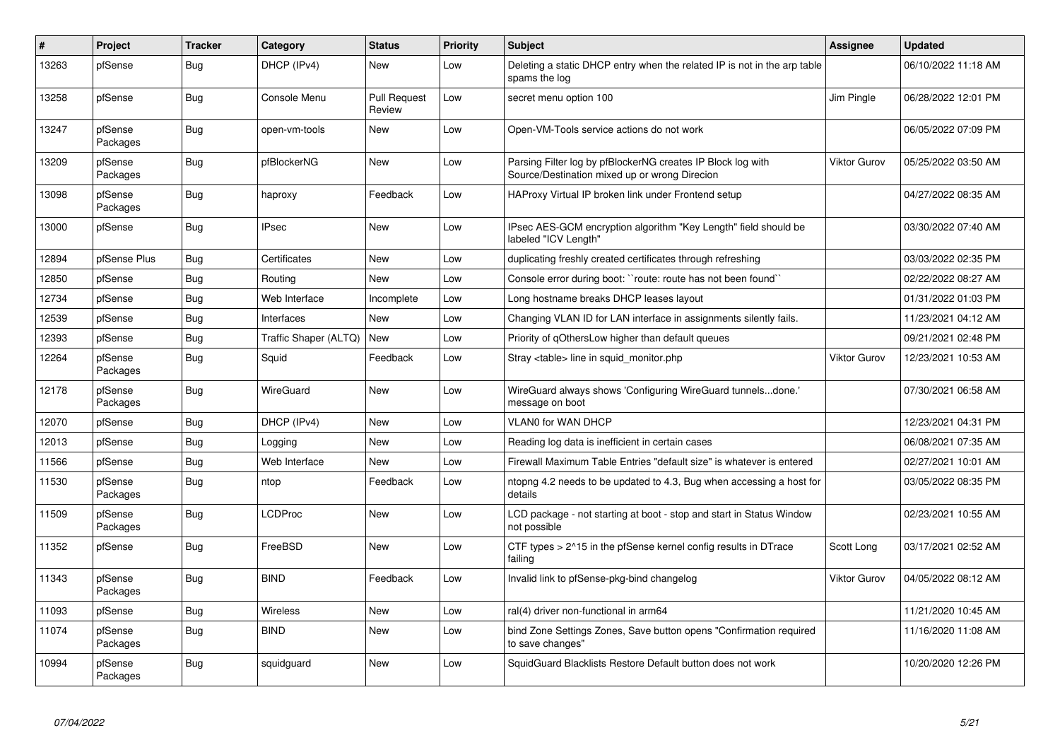| $\#$  | Project             | <b>Tracker</b> | Category              | <b>Status</b>                 | <b>Priority</b> | <b>Subject</b>                                                                                               | Assignee            | <b>Updated</b>      |
|-------|---------------------|----------------|-----------------------|-------------------------------|-----------------|--------------------------------------------------------------------------------------------------------------|---------------------|---------------------|
| 13263 | pfSense             | Bug            | DHCP (IPv4)           | <b>New</b>                    | Low             | Deleting a static DHCP entry when the related IP is not in the arp table<br>spams the log                    |                     | 06/10/2022 11:18 AM |
| 13258 | pfSense             | Bug            | Console Menu          | <b>Pull Request</b><br>Review | Low             | secret menu option 100                                                                                       | Jim Pingle          | 06/28/2022 12:01 PM |
| 13247 | pfSense<br>Packages | <b>Bug</b>     | open-vm-tools         | New                           | Low             | Open-VM-Tools service actions do not work                                                                    |                     | 06/05/2022 07:09 PM |
| 13209 | pfSense<br>Packages | <b>Bug</b>     | pfBlockerNG           | New                           | Low             | Parsing Filter log by pfBlockerNG creates IP Block log with<br>Source/Destination mixed up or wrong Direcion | <b>Viktor Gurov</b> | 05/25/2022 03:50 AM |
| 13098 | pfSense<br>Packages | <b>Bug</b>     | haproxy               | Feedback                      | Low             | HAProxy Virtual IP broken link under Frontend setup                                                          |                     | 04/27/2022 08:35 AM |
| 13000 | pfSense             | Bug            | <b>IPsec</b>          | New                           | Low             | IPsec AES-GCM encryption algorithm "Key Length" field should be<br>labeled "ICV Length"                      |                     | 03/30/2022 07:40 AM |
| 12894 | pfSense Plus        | Bug            | Certificates          | New                           | Low             | duplicating freshly created certificates through refreshing                                                  |                     | 03/03/2022 02:35 PM |
| 12850 | pfSense             | Bug            | Routing               | <b>New</b>                    | Low             | Console error during boot: "route: route has not been found"                                                 |                     | 02/22/2022 08:27 AM |
| 12734 | pfSense             | Bug            | Web Interface         | Incomplete                    | Low             | Long hostname breaks DHCP leases layout                                                                      |                     | 01/31/2022 01:03 PM |
| 12539 | pfSense             | <b>Bug</b>     | Interfaces            | New                           | Low             | Changing VLAN ID for LAN interface in assignments silently fails.                                            |                     | 11/23/2021 04:12 AM |
| 12393 | pfSense             | <b>Bug</b>     | Traffic Shaper (ALTQ) | <b>New</b>                    | Low             | Priority of gOthersLow higher than default queues                                                            |                     | 09/21/2021 02:48 PM |
| 12264 | pfSense<br>Packages | Bug            | Squid                 | Feedback                      | Low             | Stray <table> line in squid monitor.php</table>                                                              | <b>Viktor Gurov</b> | 12/23/2021 10:53 AM |
| 12178 | pfSense<br>Packages | <b>Bug</b>     | WireGuard             | New                           | Low             | WireGuard always shows 'Configuring WireGuard tunnelsdone.'<br>message on boot                               |                     | 07/30/2021 06:58 AM |
| 12070 | pfSense             | <b>Bug</b>     | DHCP (IPv4)           | New                           | Low             | <b>VLAN0 for WAN DHCP</b>                                                                                    |                     | 12/23/2021 04:31 PM |
| 12013 | pfSense             | Bug            | Logging               | New                           | Low             | Reading log data is inefficient in certain cases                                                             |                     | 06/08/2021 07:35 AM |
| 11566 | pfSense             | Bug            | Web Interface         | New                           | Low             | Firewall Maximum Table Entries "default size" is whatever is entered                                         |                     | 02/27/2021 10:01 AM |
| 11530 | pfSense<br>Packages | Bug            | ntop                  | Feedback                      | Low             | ntopng 4.2 needs to be updated to 4.3, Bug when accessing a host for<br>details                              |                     | 03/05/2022 08:35 PM |
| 11509 | pfSense<br>Packages | Bug            | <b>LCDProc</b>        | New                           | Low             | LCD package - not starting at boot - stop and start in Status Window<br>not possible                         |                     | 02/23/2021 10:55 AM |
| 11352 | pfSense             | <b>Bug</b>     | FreeBSD               | New                           | Low             | CTF types > 2^15 in the pfSense kernel config results in DTrace<br>failing                                   | Scott Long          | 03/17/2021 02:52 AM |
| 11343 | pfSense<br>Packages | Bug            | <b>BIND</b>           | Feedback                      | Low             | Invalid link to pfSense-pkg-bind changelog                                                                   | Viktor Gurov        | 04/05/2022 08:12 AM |
| 11093 | pfSense             | <b>Bug</b>     | <b>Wireless</b>       | <b>New</b>                    | Low             | ral(4) driver non-functional in arm64                                                                        |                     | 11/21/2020 10:45 AM |
| 11074 | pfSense<br>Packages | <b>Bug</b>     | <b>BIND</b>           | New                           | Low             | bind Zone Settings Zones, Save button opens "Confirmation required<br>to save changes"                       |                     | 11/16/2020 11:08 AM |
| 10994 | pfSense<br>Packages | <b>Bug</b>     | squidguard            | <b>New</b>                    | Low             | SquidGuard Blacklists Restore Default button does not work                                                   |                     | 10/20/2020 12:26 PM |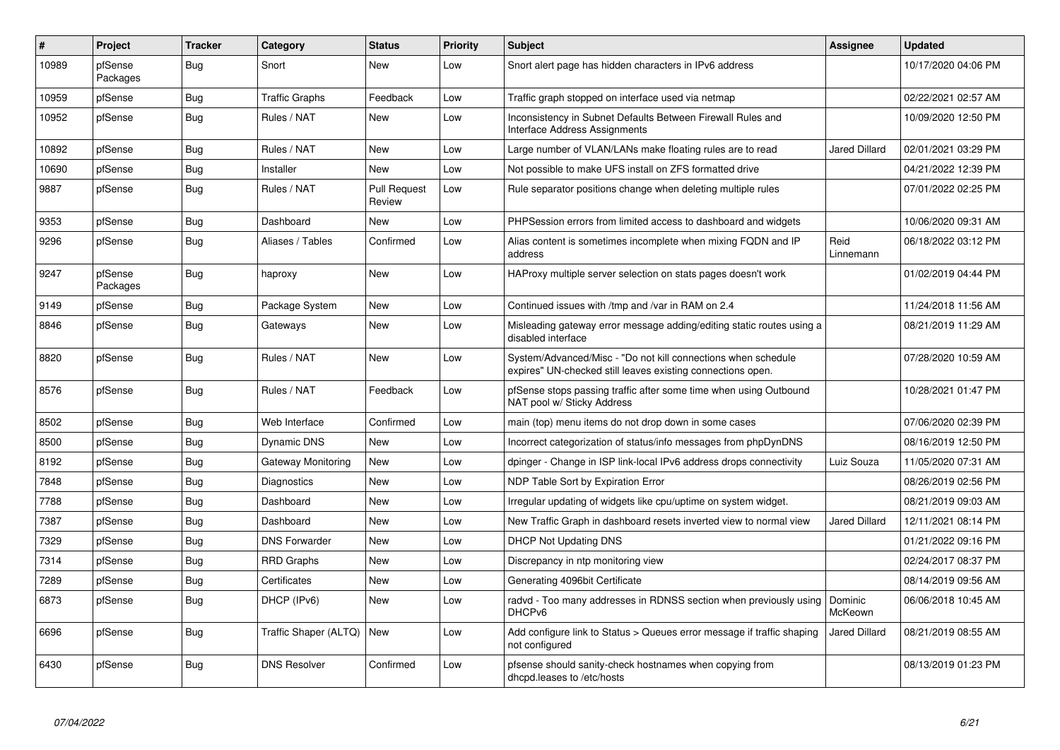| #     | Project             | <b>Tracker</b> | Category                    | <b>Status</b>                 | <b>Priority</b> | <b>Subject</b>                                                                                                               | <b>Assignee</b>      | <b>Updated</b>      |
|-------|---------------------|----------------|-----------------------------|-------------------------------|-----------------|------------------------------------------------------------------------------------------------------------------------------|----------------------|---------------------|
| 10989 | pfSense<br>Packages | <b>Bug</b>     | Snort                       | New                           | Low             | Snort alert page has hidden characters in IPv6 address                                                                       |                      | 10/17/2020 04:06 PM |
| 10959 | pfSense             | <b>Bug</b>     | <b>Traffic Graphs</b>       | Feedback                      | Low             | Traffic graph stopped on interface used via netmap                                                                           |                      | 02/22/2021 02:57 AM |
| 10952 | pfSense             | Bug            | Rules / NAT                 | New                           | Low             | Inconsistency in Subnet Defaults Between Firewall Rules and<br>Interface Address Assignments                                 |                      | 10/09/2020 12:50 PM |
| 10892 | pfSense             | Bug            | Rules / NAT                 | New                           | Low             | Large number of VLAN/LANs make floating rules are to read                                                                    | Jared Dillard        | 02/01/2021 03:29 PM |
| 10690 | pfSense             | <b>Bug</b>     | Installer                   | <b>New</b>                    | Low             | Not possible to make UFS install on ZFS formatted drive                                                                      |                      | 04/21/2022 12:39 PM |
| 9887  | pfSense             | Bug            | Rules / NAT                 | <b>Pull Request</b><br>Review | Low             | Rule separator positions change when deleting multiple rules                                                                 |                      | 07/01/2022 02:25 PM |
| 9353  | pfSense             | Bug            | Dashboard                   | New                           | Low             | PHPSession errors from limited access to dashboard and widgets                                                               |                      | 10/06/2020 09:31 AM |
| 9296  | pfSense             | <b>Bug</b>     | Aliases / Tables            | Confirmed                     | Low             | Alias content is sometimes incomplete when mixing FQDN and IP<br>address                                                     | Reid<br>Linnemann    | 06/18/2022 03:12 PM |
| 9247  | pfSense<br>Packages | Bug            | haproxy                     | New                           | Low             | HAProxy multiple server selection on stats pages doesn't work                                                                |                      | 01/02/2019 04:44 PM |
| 9149  | pfSense             | <b>Bug</b>     | Package System              | New                           | Low             | Continued issues with /tmp and /var in RAM on 2.4                                                                            |                      | 11/24/2018 11:56 AM |
| 8846  | pfSense             | Bug            | Gateways                    | New                           | Low             | Misleading gateway error message adding/editing static routes using a<br>disabled interface                                  |                      | 08/21/2019 11:29 AM |
| 8820  | pfSense             | Bug            | Rules / NAT                 | <b>New</b>                    | Low             | System/Advanced/Misc - "Do not kill connections when schedule<br>expires" UN-checked still leaves existing connections open. |                      | 07/28/2020 10:59 AM |
| 8576  | pfSense             | Bug            | Rules / NAT                 | Feedback                      | Low             | pfSense stops passing traffic after some time when using Outbound<br>NAT pool w/ Sticky Address                              |                      | 10/28/2021 01:47 PM |
| 8502  | pfSense             | Bug            | Web Interface               | Confirmed                     | Low             | main (top) menu items do not drop down in some cases                                                                         |                      | 07/06/2020 02:39 PM |
| 8500  | pfSense             | <b>Bug</b>     | <b>Dynamic DNS</b>          | New                           | Low             | Incorrect categorization of status/info messages from phpDynDNS                                                              |                      | 08/16/2019 12:50 PM |
| 8192  | pfSense             | Bug            | Gateway Monitoring          | New                           | Low             | dpinger - Change in ISP link-local IPv6 address drops connectivity                                                           | Luiz Souza           | 11/05/2020 07:31 AM |
| 7848  | pfSense             | Bug            | Diagnostics                 | New                           | Low             | NDP Table Sort by Expiration Error                                                                                           |                      | 08/26/2019 02:56 PM |
| 7788  | pfSense             | Bug            | Dashboard                   | New                           | Low             | Irregular updating of widgets like cpu/uptime on system widget.                                                              |                      | 08/21/2019 09:03 AM |
| 7387  | pfSense             | Bug            | Dashboard                   | New                           | Low             | New Traffic Graph in dashboard resets inverted view to normal view                                                           | <b>Jared Dillard</b> | 12/11/2021 08:14 PM |
| 7329  | pfSense             | Bug            | <b>DNS Forwarder</b>        | New                           | Low             | <b>DHCP Not Updating DNS</b>                                                                                                 |                      | 01/21/2022 09:16 PM |
| 7314  | pfSense             | <b>Bug</b>     | <b>RRD Graphs</b>           | New                           | Low             | Discrepancy in ntp monitoring view                                                                                           |                      | 02/24/2017 08:37 PM |
| 7289  | pfSense             | Bug            | Certificates                | New                           | Low             | Generating 4096bit Certificate                                                                                               |                      | 08/14/2019 09:56 AM |
| 6873  | pfSense             | <b>Bug</b>     | DHCP (IPv6)                 | New                           | Low             | radvd - Too many addresses in RDNSS section when previously using<br>DHCP <sub>v6</sub>                                      | Dominic<br>McKeown   | 06/06/2018 10:45 AM |
| 6696  | pfSense             | <b>Bug</b>     | Traffic Shaper (ALTQ)   New |                               | Low             | Add configure link to Status > Queues error message if traffic shaping<br>not configured                                     | Jared Dillard        | 08/21/2019 08:55 AM |
| 6430  | pfSense             | Bug            | <b>DNS Resolver</b>         | Confirmed                     | Low             | pfsense should sanity-check hostnames when copying from<br>dhcpd.leases to /etc/hosts                                        |                      | 08/13/2019 01:23 PM |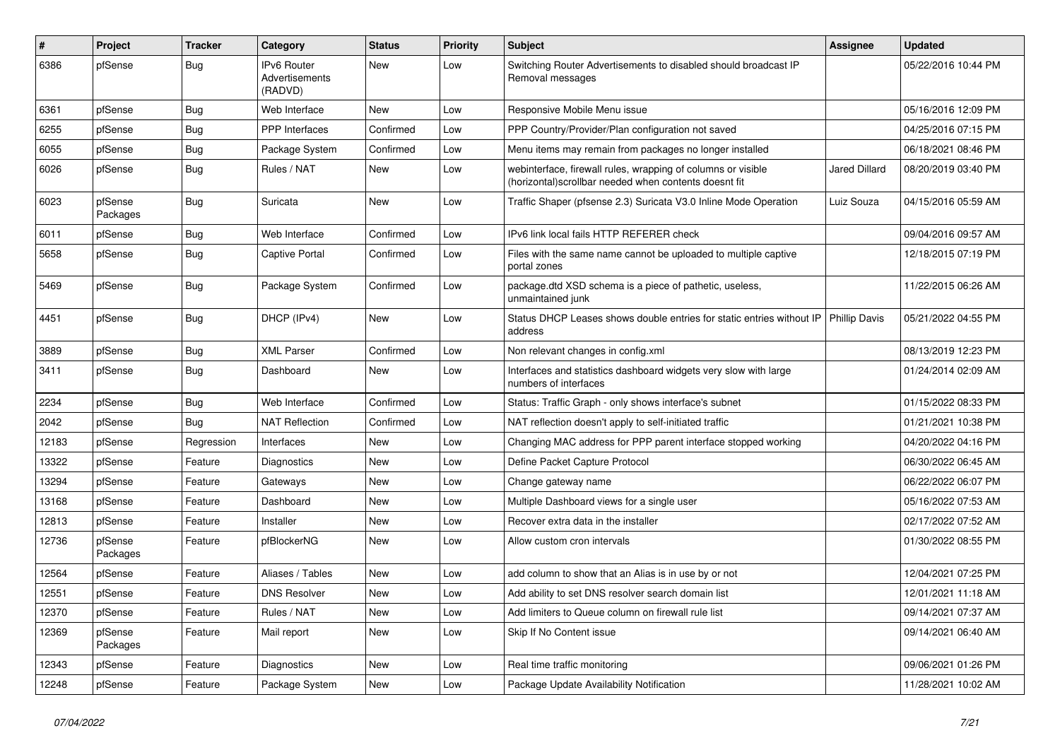| $\#$  | Project             | <b>Tracker</b> | Category                                        | <b>Status</b> | <b>Priority</b> | <b>Subject</b>                                                                                                        | Assignee             | <b>Updated</b>      |
|-------|---------------------|----------------|-------------------------------------------------|---------------|-----------------|-----------------------------------------------------------------------------------------------------------------------|----------------------|---------------------|
| 6386  | pfSense             | Bug            | <b>IPv6 Router</b><br>Advertisements<br>(RADVD) | New           | Low             | Switching Router Advertisements to disabled should broadcast IP<br>Removal messages                                   |                      | 05/22/2016 10:44 PM |
| 6361  | pfSense             | Bug            | Web Interface                                   | <b>New</b>    | Low             | Responsive Mobile Menu issue                                                                                          |                      | 05/16/2016 12:09 PM |
| 6255  | pfSense             | Bug            | PPP Interfaces                                  | Confirmed     | Low             | PPP Country/Provider/Plan configuration not saved                                                                     |                      | 04/25/2016 07:15 PM |
| 6055  | pfSense             | Bug            | Package System                                  | Confirmed     | Low             | Menu items may remain from packages no longer installed                                                               |                      | 06/18/2021 08:46 PM |
| 6026  | pfSense             | Bug            | Rules / NAT                                     | New           | Low             | webinterface, firewall rules, wrapping of columns or visible<br>(horizontal)scrollbar needed when contents doesnt fit | <b>Jared Dillard</b> | 08/20/2019 03:40 PM |
| 6023  | pfSense<br>Packages | Bug            | Suricata                                        | New           | Low             | Traffic Shaper (pfsense 2.3) Suricata V3.0 Inline Mode Operation                                                      | Luiz Souza           | 04/15/2016 05:59 AM |
| 6011  | pfSense             | Bug            | Web Interface                                   | Confirmed     | Low             | IPv6 link local fails HTTP REFERER check                                                                              |                      | 09/04/2016 09:57 AM |
| 5658  | pfSense             | Bug            | <b>Captive Portal</b>                           | Confirmed     | Low             | Files with the same name cannot be uploaded to multiple captive<br>portal zones                                       |                      | 12/18/2015 07:19 PM |
| 5469  | pfSense             | Bug            | Package System                                  | Confirmed     | Low             | package.dtd XSD schema is a piece of pathetic, useless,<br>unmaintained junk                                          |                      | 11/22/2015 06:26 AM |
| 4451  | pfSense             | Bug            | DHCP (IPv4)                                     | New           | Low             | Status DHCP Leases shows double entries for static entries without IP<br>address                                      | <b>Phillip Davis</b> | 05/21/2022 04:55 PM |
| 3889  | pfSense             | <b>Bug</b>     | <b>XML Parser</b>                               | Confirmed     | Low             | Non relevant changes in config.xml                                                                                    |                      | 08/13/2019 12:23 PM |
| 3411  | pfSense             | Bug            | Dashboard                                       | New           | Low             | Interfaces and statistics dashboard widgets very slow with large<br>numbers of interfaces                             |                      | 01/24/2014 02:09 AM |
| 2234  | pfSense             | Bug            | Web Interface                                   | Confirmed     | Low             | Status: Traffic Graph - only shows interface's subnet                                                                 |                      | 01/15/2022 08:33 PM |
| 2042  | pfSense             | Bug            | <b>NAT Reflection</b>                           | Confirmed     | Low             | NAT reflection doesn't apply to self-initiated traffic                                                                |                      | 01/21/2021 10:38 PM |
| 12183 | pfSense             | Regression     | Interfaces                                      | New           | Low             | Changing MAC address for PPP parent interface stopped working                                                         |                      | 04/20/2022 04:16 PM |
| 13322 | pfSense             | Feature        | Diagnostics                                     | New           | Low             | Define Packet Capture Protocol                                                                                        |                      | 06/30/2022 06:45 AM |
| 13294 | pfSense             | Feature        | Gateways                                        | New           | Low             | Change gateway name                                                                                                   |                      | 06/22/2022 06:07 PM |
| 13168 | pfSense             | Feature        | Dashboard                                       | New           | Low             | Multiple Dashboard views for a single user                                                                            |                      | 05/16/2022 07:53 AM |
| 12813 | pfSense             | Feature        | <b>Installer</b>                                | New           | Low             | Recover extra data in the installer                                                                                   |                      | 02/17/2022 07:52 AM |
| 12736 | pfSense<br>Packages | Feature        | pfBlockerNG                                     | New           | Low             | Allow custom cron intervals                                                                                           |                      | 01/30/2022 08:55 PM |
| 12564 | pfSense             | Feature        | Aliases / Tables                                | New           | Low             | add column to show that an Alias is in use by or not                                                                  |                      | 12/04/2021 07:25 PM |
| 12551 | pfSense             | Feature        | <b>DNS Resolver</b>                             | New           | Low             | Add ability to set DNS resolver search domain list                                                                    |                      | 12/01/2021 11:18 AM |
| 12370 | pfSense             | Feature        | Rules / NAT                                     | New           | Low             | Add limiters to Queue column on firewall rule list                                                                    |                      | 09/14/2021 07:37 AM |
| 12369 | pfSense<br>Packages | Feature        | Mail report                                     | New           | Low             | Skip If No Content issue                                                                                              |                      | 09/14/2021 06:40 AM |
| 12343 | pfSense             | Feature        | Diagnostics                                     | New           | Low             | Real time traffic monitoring                                                                                          |                      | 09/06/2021 01:26 PM |
| 12248 | pfSense             | Feature        | Package System                                  | New           | Low             | Package Update Availability Notification                                                                              |                      | 11/28/2021 10:02 AM |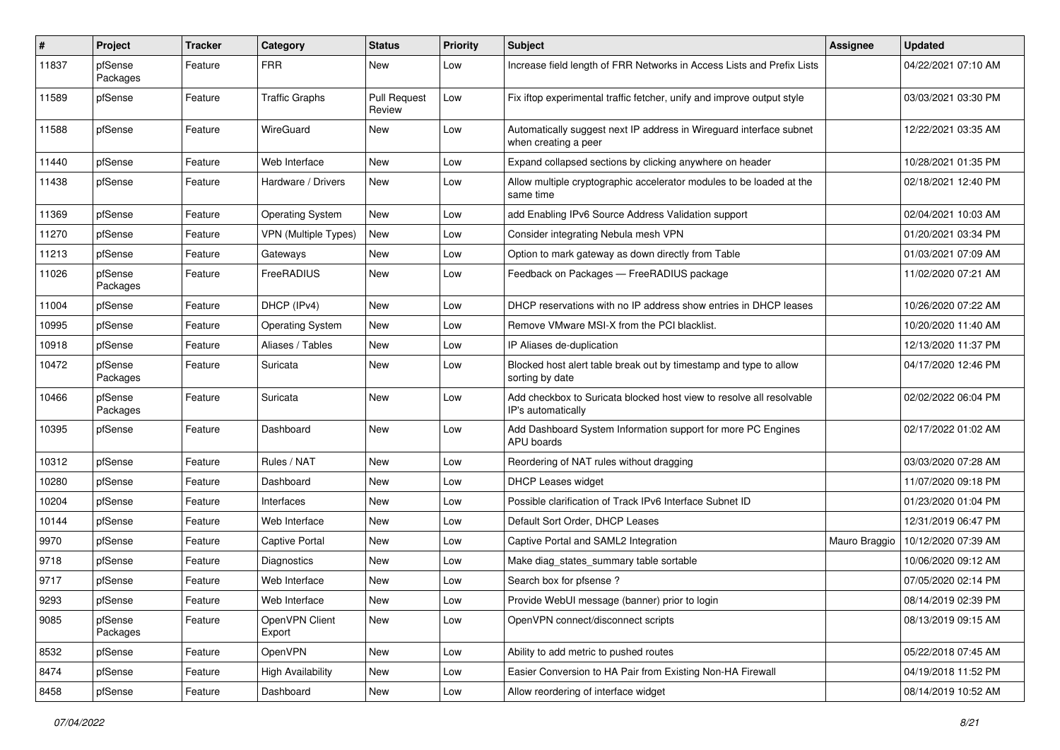| ∦     | <b>Project</b>      | <b>Tracker</b> | Category                    | <b>Status</b>                 | <b>Priority</b> | <b>Subject</b>                                                                              | Assignee      | <b>Updated</b>      |
|-------|---------------------|----------------|-----------------------------|-------------------------------|-----------------|---------------------------------------------------------------------------------------------|---------------|---------------------|
| 11837 | pfSense<br>Packages | Feature        | <b>FRR</b>                  | New                           | Low             | Increase field length of FRR Networks in Access Lists and Prefix Lists                      |               | 04/22/2021 07:10 AM |
| 11589 | pfSense             | Feature        | <b>Traffic Graphs</b>       | <b>Pull Request</b><br>Review | Low             | Fix iftop experimental traffic fetcher, unify and improve output style                      |               | 03/03/2021 03:30 PM |
| 11588 | pfSense             | Feature        | WireGuard                   | New                           | Low             | Automatically suggest next IP address in Wireguard interface subnet<br>when creating a peer |               | 12/22/2021 03:35 AM |
| 11440 | pfSense             | Feature        | Web Interface               | New                           | Low             | Expand collapsed sections by clicking anywhere on header                                    |               | 10/28/2021 01:35 PM |
| 11438 | pfSense             | Feature        | Hardware / Drivers          | New                           | Low             | Allow multiple cryptographic accelerator modules to be loaded at the<br>same time           |               | 02/18/2021 12:40 PM |
| 11369 | pfSense             | Feature        | <b>Operating System</b>     | New                           | Low             | add Enabling IPv6 Source Address Validation support                                         |               | 02/04/2021 10:03 AM |
| 11270 | pfSense             | Feature        | <b>VPN (Multiple Types)</b> | New                           | Low             | Consider integrating Nebula mesh VPN                                                        |               | 01/20/2021 03:34 PM |
| 11213 | pfSense             | Feature        | Gateways                    | New                           | Low             | Option to mark gateway as down directly from Table                                          |               | 01/03/2021 07:09 AM |
| 11026 | pfSense<br>Packages | Feature        | FreeRADIUS                  | New                           | Low             | Feedback on Packages - FreeRADIUS package                                                   |               | 11/02/2020 07:21 AM |
| 11004 | pfSense             | Feature        | DHCP (IPv4)                 | New                           | Low             | DHCP reservations with no IP address show entries in DHCP leases                            |               | 10/26/2020 07:22 AM |
| 10995 | pfSense             | Feature        | <b>Operating System</b>     | New                           | Low             | Remove VMware MSI-X from the PCI blacklist.                                                 |               | 10/20/2020 11:40 AM |
| 10918 | pfSense             | Feature        | Aliases / Tables            | New                           | Low             | IP Aliases de-duplication                                                                   |               | 12/13/2020 11:37 PM |
| 10472 | pfSense<br>Packages | Feature        | Suricata                    | New                           | Low             | Blocked host alert table break out by timestamp and type to allow<br>sorting by date        |               | 04/17/2020 12:46 PM |
| 10466 | pfSense<br>Packages | Feature        | Suricata                    | New                           | Low             | Add checkbox to Suricata blocked host view to resolve all resolvable<br>IP's automatically  |               | 02/02/2022 06:04 PM |
| 10395 | pfSense             | Feature        | Dashboard                   | New                           | Low             | Add Dashboard System Information support for more PC Engines<br>APU boards                  |               | 02/17/2022 01:02 AM |
| 10312 | pfSense             | Feature        | Rules / NAT                 | <b>New</b>                    | Low             | Reordering of NAT rules without dragging                                                    |               | 03/03/2020 07:28 AM |
| 10280 | pfSense             | Feature        | Dashboard                   | New                           | Low             | <b>DHCP Leases widget</b>                                                                   |               | 11/07/2020 09:18 PM |
| 10204 | pfSense             | Feature        | Interfaces                  | New                           | Low             | Possible clarification of Track IPv6 Interface Subnet ID                                    |               | 01/23/2020 01:04 PM |
| 10144 | pfSense             | Feature        | Web Interface               | New                           | Low             | Default Sort Order, DHCP Leases                                                             |               | 12/31/2019 06:47 PM |
| 9970  | pfSense             | Feature        | <b>Captive Portal</b>       | New                           | Low             | Captive Portal and SAML2 Integration                                                        | Mauro Braggio | 10/12/2020 07:39 AM |
| 9718  | pfSense             | Feature        | Diagnostics                 | New                           | Low             | Make diag_states_summary table sortable                                                     |               | 10/06/2020 09:12 AM |
| 9717  | pfSense             | Feature        | Web Interface               | New                           | Low             | Search box for pfsense?                                                                     |               | 07/05/2020 02:14 PM |
| 9293  | pfSense             | Feature        | Web Interface               | New                           | Low             | Provide WebUI message (banner) prior to login                                               |               | 08/14/2019 02:39 PM |
| 9085  | pfSense<br>Packages | Feature        | OpenVPN Client<br>Export    | New                           | Low             | OpenVPN connect/disconnect scripts                                                          |               | 08/13/2019 09:15 AM |
| 8532  | pfSense             | Feature        | OpenVPN                     | New                           | Low             | Ability to add metric to pushed routes                                                      |               | 05/22/2018 07:45 AM |
| 8474  | pfSense             | Feature        | High Availability           | New                           | Low             | Easier Conversion to HA Pair from Existing Non-HA Firewall                                  |               | 04/19/2018 11:52 PM |
| 8458  | pfSense             | Feature        | Dashboard                   | New                           | Low             | Allow reordering of interface widget                                                        |               | 08/14/2019 10:52 AM |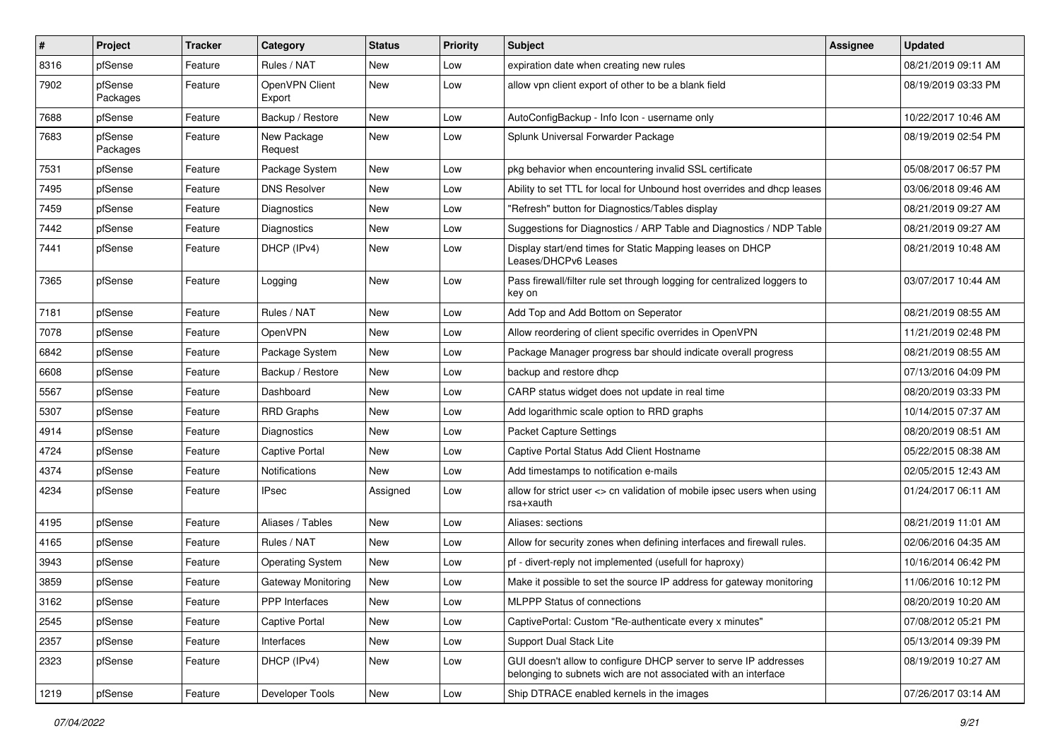| #    | Project             | <b>Tracker</b> | Category                 | <b>Status</b> | <b>Priority</b> | <b>Subject</b>                                                                                                                     | Assignee | <b>Updated</b>      |
|------|---------------------|----------------|--------------------------|---------------|-----------------|------------------------------------------------------------------------------------------------------------------------------------|----------|---------------------|
| 8316 | pfSense             | Feature        | Rules / NAT              | New           | Low             | expiration date when creating new rules                                                                                            |          | 08/21/2019 09:11 AM |
| 7902 | pfSense<br>Packages | Feature        | OpenVPN Client<br>Export | New           | Low             | allow vpn client export of other to be a blank field                                                                               |          | 08/19/2019 03:33 PM |
| 7688 | pfSense             | Feature        | Backup / Restore         | New           | Low             | AutoConfigBackup - Info Icon - username only                                                                                       |          | 10/22/2017 10:46 AM |
| 7683 | pfSense<br>Packages | Feature        | New Package<br>Request   | New           | Low             | Splunk Universal Forwarder Package                                                                                                 |          | 08/19/2019 02:54 PM |
| 7531 | pfSense             | Feature        | Package System           | New           | Low             | pkg behavior when encountering invalid SSL certificate                                                                             |          | 05/08/2017 06:57 PM |
| 7495 | pfSense             | Feature        | <b>DNS Resolver</b>      | New           | Low             | Ability to set TTL for local for Unbound host overrides and dhcp leases                                                            |          | 03/06/2018 09:46 AM |
| 7459 | pfSense             | Feature        | Diagnostics              | New           | Low             | "Refresh" button for Diagnostics/Tables display                                                                                    |          | 08/21/2019 09:27 AM |
| 7442 | pfSense             | Feature        | Diagnostics              | New           | Low             | Suggestions for Diagnostics / ARP Table and Diagnostics / NDP Table                                                                |          | 08/21/2019 09:27 AM |
| 7441 | pfSense             | Feature        | DHCP (IPv4)              | New           | Low             | Display start/end times for Static Mapping leases on DHCP<br>Leases/DHCPv6 Leases                                                  |          | 08/21/2019 10:48 AM |
| 7365 | pfSense             | Feature        | Logging                  | New           | Low             | Pass firewall/filter rule set through logging for centralized loggers to<br>key on                                                 |          | 03/07/2017 10:44 AM |
| 7181 | pfSense             | Feature        | Rules / NAT              | New           | Low             | Add Top and Add Bottom on Seperator                                                                                                |          | 08/21/2019 08:55 AM |
| 7078 | pfSense             | Feature        | OpenVPN                  | New           | Low             | Allow reordering of client specific overrides in OpenVPN                                                                           |          | 11/21/2019 02:48 PM |
| 6842 | pfSense             | Feature        | Package System           | New           | Low             | Package Manager progress bar should indicate overall progress                                                                      |          | 08/21/2019 08:55 AM |
| 6608 | pfSense             | Feature        | Backup / Restore         | New           | Low             | backup and restore dhcp                                                                                                            |          | 07/13/2016 04:09 PM |
| 5567 | pfSense             | Feature        | Dashboard                | New           | Low             | CARP status widget does not update in real time                                                                                    |          | 08/20/2019 03:33 PM |
| 5307 | pfSense             | Feature        | <b>RRD Graphs</b>        | New           | Low             | Add logarithmic scale option to RRD graphs                                                                                         |          | 10/14/2015 07:37 AM |
| 4914 | pfSense             | Feature        | <b>Diagnostics</b>       | New           | Low             | <b>Packet Capture Settings</b>                                                                                                     |          | 08/20/2019 08:51 AM |
| 4724 | pfSense             | Feature        | <b>Captive Portal</b>    | New           | Low             | Captive Portal Status Add Client Hostname                                                                                          |          | 05/22/2015 08:38 AM |
| 4374 | pfSense             | Feature        | <b>Notifications</b>     | New           | Low             | Add timestamps to notification e-mails                                                                                             |          | 02/05/2015 12:43 AM |
| 4234 | pfSense             | Feature        | IPsec                    | Assigned      | Low             | allow for strict user <> cn validation of mobile ipsec users when using<br>rsa+xauth                                               |          | 01/24/2017 06:11 AM |
| 4195 | pfSense             | Feature        | Aliases / Tables         | New           | Low             | Aliases: sections                                                                                                                  |          | 08/21/2019 11:01 AM |
| 4165 | pfSense             | Feature        | Rules / NAT              | New           | Low             | Allow for security zones when defining interfaces and firewall rules.                                                              |          | 02/06/2016 04:35 AM |
| 3943 | pfSense             | Feature        | <b>Operating System</b>  | New           | Low             | pf - divert-reply not implemented (usefull for haproxy)                                                                            |          | 10/16/2014 06:42 PM |
| 3859 | pfSense             | Feature        | Gateway Monitoring       | New           | Low             | Make it possible to set the source IP address for gateway monitoring                                                               |          | 11/06/2016 10:12 PM |
| 3162 | ptSense             | Feature        | PPP Interfaces           | New           | Low             | MLPPP Status of connections                                                                                                        |          | 08/20/2019 10:20 AM |
| 2545 | pfSense             | Feature        | <b>Captive Portal</b>    | New           | Low             | CaptivePortal: Custom "Re-authenticate every x minutes"                                                                            |          | 07/08/2012 05:21 PM |
| 2357 | pfSense             | Feature        | Interfaces               | New           | Low             | Support Dual Stack Lite                                                                                                            |          | 05/13/2014 09:39 PM |
| 2323 | pfSense             | Feature        | DHCP (IPv4)              | New           | Low             | GUI doesn't allow to configure DHCP server to serve IP addresses<br>belonging to subnets wich are not associated with an interface |          | 08/19/2019 10:27 AM |
| 1219 | pfSense             | Feature        | Developer Tools          | New           | Low             | Ship DTRACE enabled kernels in the images                                                                                          |          | 07/26/2017 03:14 AM |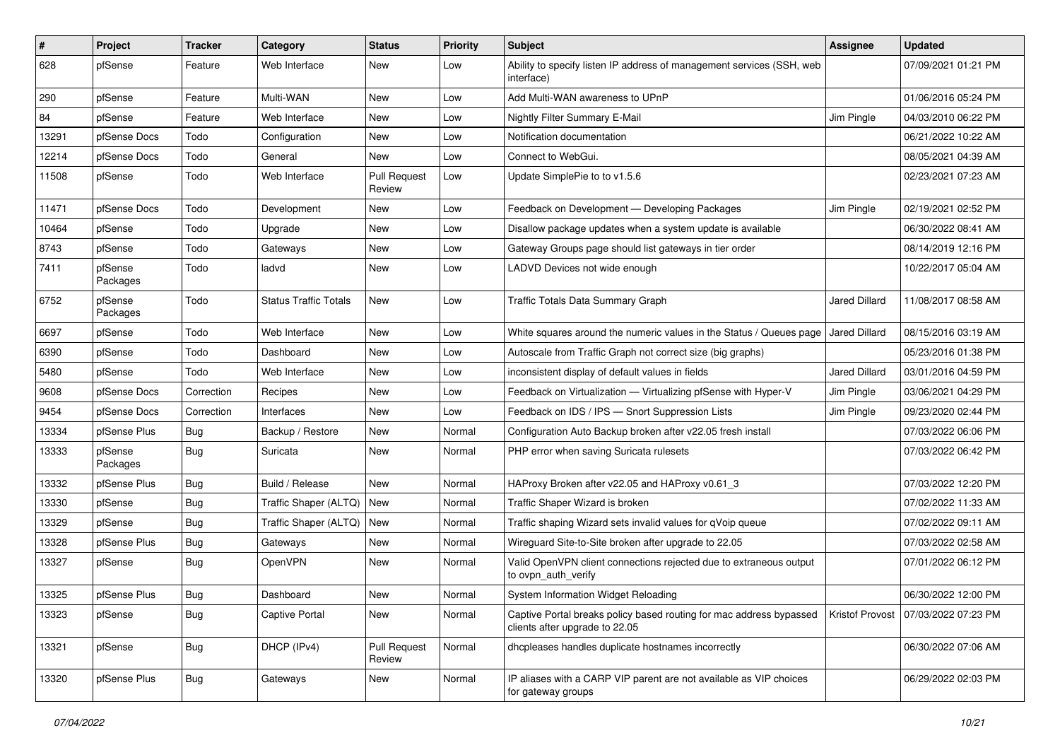| $\sharp$ | Project             | <b>Tracker</b> | Category                     | <b>Status</b>                 | <b>Priority</b> | <b>Subject</b>                                                                                        | Assignee             | <b>Updated</b>      |
|----------|---------------------|----------------|------------------------------|-------------------------------|-----------------|-------------------------------------------------------------------------------------------------------|----------------------|---------------------|
| 628      | pfSense             | Feature        | Web Interface                | New                           | Low             | Ability to specify listen IP address of management services (SSH, web<br>interface)                   |                      | 07/09/2021 01:21 PM |
| 290      | pfSense             | Feature        | Multi-WAN                    | New                           | Low             | Add Multi-WAN awareness to UPnP                                                                       |                      | 01/06/2016 05:24 PM |
| 84       | pfSense             | Feature        | Web Interface                | New                           | Low             | Nightly Filter Summary E-Mail                                                                         | Jim Pingle           | 04/03/2010 06:22 PM |
| 13291    | pfSense Docs        | Todo           | Configuration                | New                           | Low             | Notification documentation                                                                            |                      | 06/21/2022 10:22 AM |
| 12214    | pfSense Docs        | Todo           | General                      | New                           | Low             | Connect to WebGui.                                                                                    |                      | 08/05/2021 04:39 AM |
| 11508    | pfSense             | Todo           | Web Interface                | <b>Pull Request</b><br>Review | Low             | Update SimplePie to to v1.5.6                                                                         |                      | 02/23/2021 07:23 AM |
| 11471    | pfSense Docs        | Todo           | Development                  | New                           | Low             | Feedback on Development - Developing Packages                                                         | Jim Pingle           | 02/19/2021 02:52 PM |
| 10464    | pfSense             | Todo           | Upgrade                      | New                           | Low             | Disallow package updates when a system update is available                                            |                      | 06/30/2022 08:41 AM |
| 8743     | pfSense             | Todo           | Gateways                     | New                           | Low             | Gateway Groups page should list gateways in tier order                                                |                      | 08/14/2019 12:16 PM |
| 7411     | pfSense<br>Packages | Todo           | ladvd                        | New                           | Low             | LADVD Devices not wide enough                                                                         |                      | 10/22/2017 05:04 AM |
| 6752     | pfSense<br>Packages | Todo           | <b>Status Traffic Totals</b> | New                           | Low             | Traffic Totals Data Summary Graph                                                                     | <b>Jared Dillard</b> | 11/08/2017 08:58 AM |
| 6697     | pfSense             | Todo           | Web Interface                | New                           | Low             | White squares around the numeric values in the Status / Queues page                                   | <b>Jared Dillard</b> | 08/15/2016 03:19 AM |
| 6390     | pfSense             | Todo           | Dashboard                    | New                           | Low             | Autoscale from Traffic Graph not correct size (big graphs)                                            |                      | 05/23/2016 01:38 PM |
| 5480     | pfSense             | Todo           | Web Interface                | New                           | Low             | inconsistent display of default values in fields                                                      | <b>Jared Dillard</b> | 03/01/2016 04:59 PM |
| 9608     | pfSense Docs        | Correction     | Recipes                      | New                           | Low             | Feedback on Virtualization - Virtualizing pfSense with Hyper-V                                        | Jim Pingle           | 03/06/2021 04:29 PM |
| 9454     | pfSense Docs        | Correction     | Interfaces                   | New                           | Low             | Feedback on IDS / IPS - Snort Suppression Lists                                                       | Jim Pingle           | 09/23/2020 02:44 PM |
| 13334    | pfSense Plus        | Bug            | Backup / Restore             | New                           | Normal          | Configuration Auto Backup broken after v22.05 fresh install                                           |                      | 07/03/2022 06:06 PM |
| 13333    | pfSense<br>Packages | <b>Bug</b>     | Suricata                     | New                           | Normal          | PHP error when saving Suricata rulesets                                                               |                      | 07/03/2022 06:42 PM |
| 13332    | pfSense Plus        | Bug            | Build / Release              | New                           | Normal          | HAProxy Broken after v22.05 and HAProxy v0.61_3                                                       |                      | 07/03/2022 12:20 PM |
| 13330    | pfSense             | Bug            | Traffic Shaper (ALTQ)        | New                           | Normal          | Traffic Shaper Wizard is broken                                                                       |                      | 07/02/2022 11:33 AM |
| 13329    | pfSense             | <b>Bug</b>     | Traffic Shaper (ALTQ)        | <b>New</b>                    | Normal          | Traffic shaping Wizard sets invalid values for gVoip queue                                            |                      | 07/02/2022 09:11 AM |
| 13328    | pfSense Plus        | Bug            | Gateways                     | New                           | Normal          | Wireguard Site-to-Site broken after upgrade to 22.05                                                  |                      | 07/03/2022 02:58 AM |
| 13327    | pfSense             | Bug            | OpenVPN                      | New                           | Normal          | Valid OpenVPN client connections rejected due to extraneous output<br>to ovpn_auth_verify             |                      | 07/01/2022 06:12 PM |
| 13325    | pfSense Plus        | Bug            | Dashboard                    | New                           | Normal          | System Information Widget Reloading                                                                   |                      | 06/30/2022 12:00 PM |
| 13323    | pfSense             | <b>Bug</b>     | Captive Portal               | New                           | Normal          | Captive Portal breaks policy based routing for mac address bypassed<br>clients after upgrade to 22.05 | Kristof Provost      | 07/03/2022 07:23 PM |
| 13321    | pfSense             | <b>Bug</b>     | DHCP (IPv4)                  | <b>Pull Request</b><br>Review | Normal          | dhcpleases handles duplicate hostnames incorrectly                                                    |                      | 06/30/2022 07:06 AM |
| 13320    | pfSense Plus        | <b>Bug</b>     | Gateways                     | New                           | Normal          | IP aliases with a CARP VIP parent are not available as VIP choices<br>for gateway groups              |                      | 06/29/2022 02:03 PM |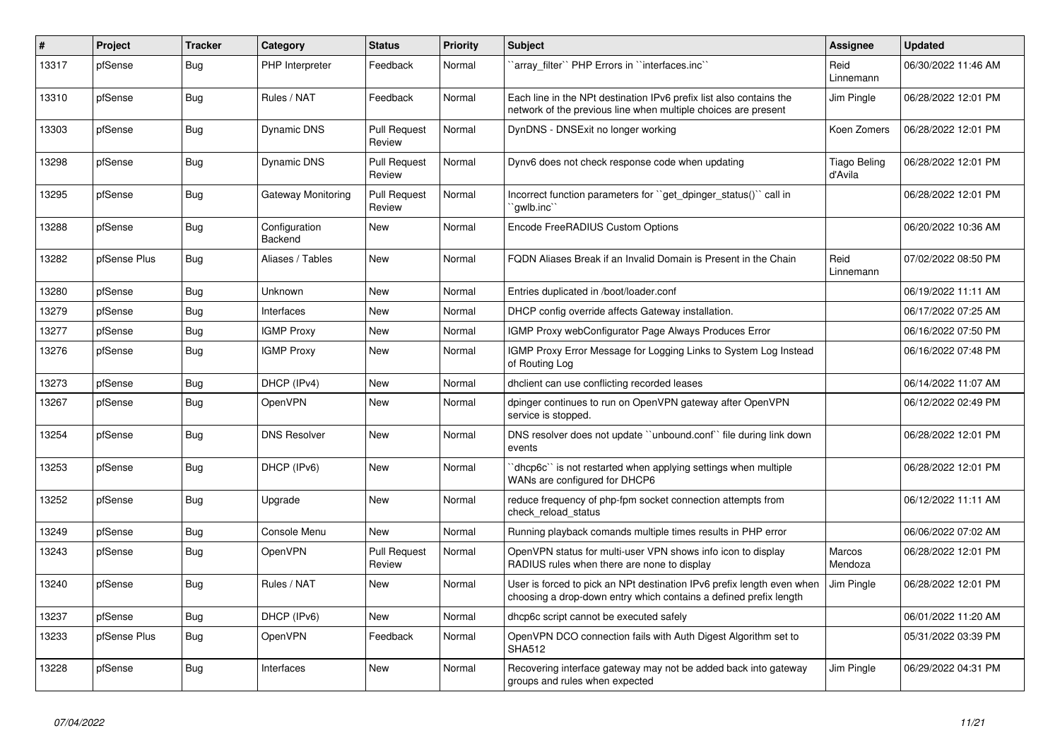| $\#$  | Project      | <b>Tracker</b> | Category                 | <b>Status</b>                 | <b>Priority</b> | <b>Subject</b>                                                                                                                              | <b>Assignee</b>                | <b>Updated</b>      |
|-------|--------------|----------------|--------------------------|-------------------------------|-----------------|---------------------------------------------------------------------------------------------------------------------------------------------|--------------------------------|---------------------|
| 13317 | pfSense      | Bug            | PHP Interpreter          | Feedback                      | Normal          | 'array_filter'' PHP Errors in ''interfaces.inc''                                                                                            | Reid<br>Linnemann              | 06/30/2022 11:46 AM |
| 13310 | pfSense      | Bug            | Rules / NAT              | Feedback                      | Normal          | Each line in the NPt destination IPv6 prefix list also contains the<br>network of the previous line when multiple choices are present       | Jim Pingle                     | 06/28/2022 12:01 PM |
| 13303 | pfSense      | <b>Bug</b>     | <b>Dynamic DNS</b>       | Pull Request<br>Review        | Normal          | DynDNS - DNSExit no longer working                                                                                                          | Koen Zomers                    | 06/28/2022 12:01 PM |
| 13298 | pfSense      | <b>Bug</b>     | <b>Dynamic DNS</b>       | <b>Pull Request</b><br>Review | Normal          | Dynv6 does not check response code when updating                                                                                            | <b>Tiago Beling</b><br>d'Avila | 06/28/2022 12:01 PM |
| 13295 | pfSense      | <b>Bug</b>     | Gateway Monitoring       | <b>Pull Request</b><br>Review | Normal          | Incorrect function parameters for "get dpinger status()" call in<br>`gwlb.inc                                                               |                                | 06/28/2022 12:01 PM |
| 13288 | pfSense      | Bug            | Configuration<br>Backend | New                           | Normal          | Encode FreeRADIUS Custom Options                                                                                                            |                                | 06/20/2022 10:36 AM |
| 13282 | pfSense Plus | Bug            | Aliases / Tables         | New                           | Normal          | FQDN Aliases Break if an Invalid Domain is Present in the Chain                                                                             | Reid<br>Linnemann              | 07/02/2022 08:50 PM |
| 13280 | pfSense      | <b>Bug</b>     | <b>Unknown</b>           | <b>New</b>                    | Normal          | Entries duplicated in /boot/loader.conf                                                                                                     |                                | 06/19/2022 11:11 AM |
| 13279 | pfSense      | Bug            | Interfaces               | New                           | Normal          | DHCP config override affects Gateway installation.                                                                                          |                                | 06/17/2022 07:25 AM |
| 13277 | pfSense      | Bug            | <b>IGMP Proxy</b>        | New                           | Normal          | IGMP Proxy webConfigurator Page Always Produces Error                                                                                       |                                | 06/16/2022 07:50 PM |
| 13276 | pfSense      | Bug            | <b>IGMP Proxy</b>        | <b>New</b>                    | Normal          | IGMP Proxy Error Message for Logging Links to System Log Instead<br>of Routing Log                                                          |                                | 06/16/2022 07:48 PM |
| 13273 | pfSense      | Bug            | DHCP (IPv4)              | New                           | Normal          | dholient can use conflicting recorded leases                                                                                                |                                | 06/14/2022 11:07 AM |
| 13267 | pfSense      | Bug            | <b>OpenVPN</b>           | New                           | Normal          | dpinger continues to run on OpenVPN gateway after OpenVPN<br>service is stopped.                                                            |                                | 06/12/2022 02:49 PM |
| 13254 | pfSense      | Bug            | <b>DNS Resolver</b>      | New                           | Normal          | DNS resolver does not update "unbound.conf" file during link down<br>events                                                                 |                                | 06/28/2022 12:01 PM |
| 13253 | pfSense      | <b>Bug</b>     | DHCP (IPv6)              | <b>New</b>                    | Normal          | 'dhcp6c'' is not restarted when applying settings when multiple<br>WANs are configured for DHCP6                                            |                                | 06/28/2022 12:01 PM |
| 13252 | pfSense      | Bug            | Upgrade                  | New                           | Normal          | reduce frequency of php-fpm socket connection attempts from<br>check reload status                                                          |                                | 06/12/2022 11:11 AM |
| 13249 | pfSense      | Bug            | Console Menu             | <b>New</b>                    | Normal          | Running playback comands multiple times results in PHP error                                                                                |                                | 06/06/2022 07:02 AM |
| 13243 | pfSense      | Bug            | <b>OpenVPN</b>           | <b>Pull Request</b><br>Review | Normal          | OpenVPN status for multi-user VPN shows info icon to display<br>RADIUS rules when there are none to display                                 | Marcos<br>Mendoza              | 06/28/2022 12:01 PM |
| 13240 | pfSense      | Bug            | Rules / NAT              | New                           | Normal          | User is forced to pick an NPt destination IPv6 prefix length even when<br>choosing a drop-down entry which contains a defined prefix length | Jim Pingle                     | 06/28/2022 12:01 PM |
| 13237 | pfSense      | Bug            | DHCP (IPv6)              | <b>New</b>                    | Normal          | dhcp6c script cannot be executed safely                                                                                                     |                                | 06/01/2022 11:20 AM |
| 13233 | pfSense Plus | Bug            | OpenVPN                  | Feedback                      | Normal          | OpenVPN DCO connection fails with Auth Digest Algorithm set to<br><b>SHA512</b>                                                             |                                | 05/31/2022 03:39 PM |
| 13228 | pfSense      | <b>Bug</b>     | Interfaces               | <b>New</b>                    | Normal          | Recovering interface gateway may not be added back into gateway<br>groups and rules when expected                                           | Jim Pingle                     | 06/29/2022 04:31 PM |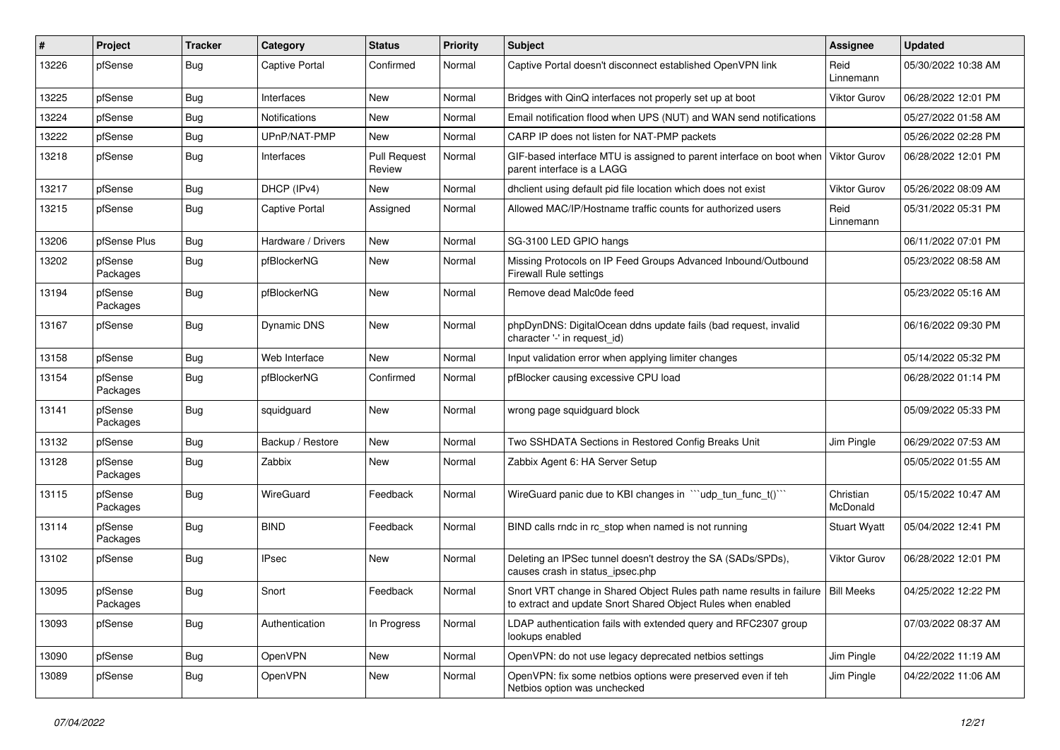| #     | Project             | <b>Tracker</b> | Category              | <b>Status</b>                 | <b>Priority</b> | <b>Subject</b>                                                                                                                       | Assignee              | <b>Updated</b>      |
|-------|---------------------|----------------|-----------------------|-------------------------------|-----------------|--------------------------------------------------------------------------------------------------------------------------------------|-----------------------|---------------------|
| 13226 | pfSense             | Bug            | <b>Captive Portal</b> | Confirmed                     | Normal          | Captive Portal doesn't disconnect established OpenVPN link                                                                           | Reid<br>Linnemann     | 05/30/2022 10:38 AM |
| 13225 | pfSense             | Bug            | Interfaces            | New                           | Normal          | Bridges with QinQ interfaces not properly set up at boot                                                                             | <b>Viktor Gurov</b>   | 06/28/2022 12:01 PM |
| 13224 | pfSense             | Bug            | Notifications         | New                           | Normal          | Email notification flood when UPS (NUT) and WAN send notifications                                                                   |                       | 05/27/2022 01:58 AM |
| 13222 | pfSense             | Bug            | UPnP/NAT-PMP          | <b>New</b>                    | Normal          | CARP IP does not listen for NAT-PMP packets                                                                                          |                       | 05/26/2022 02:28 PM |
| 13218 | pfSense             | <b>Bug</b>     | Interfaces            | <b>Pull Request</b><br>Review | Normal          | GIF-based interface MTU is assigned to parent interface on boot when<br>parent interface is a LAGG                                   | Viktor Gurov          | 06/28/2022 12:01 PM |
| 13217 | pfSense             | Bug            | DHCP (IPv4)           | New                           | Normal          | dholient using default pid file location which does not exist                                                                        | <b>Viktor Gurov</b>   | 05/26/2022 08:09 AM |
| 13215 | pfSense             | Bug            | <b>Captive Portal</b> | Assigned                      | Normal          | Allowed MAC/IP/Hostname traffic counts for authorized users                                                                          | Reid<br>Linnemann     | 05/31/2022 05:31 PM |
| 13206 | pfSense Plus        | Bug            | Hardware / Drivers    | New                           | Normal          | SG-3100 LED GPIO hangs                                                                                                               |                       | 06/11/2022 07:01 PM |
| 13202 | pfSense<br>Packages | Bug            | pfBlockerNG           | New                           | Normal          | Missing Protocols on IP Feed Groups Advanced Inbound/Outbound<br><b>Firewall Rule settings</b>                                       |                       | 05/23/2022 08:58 AM |
| 13194 | pfSense<br>Packages | Bug            | pfBlockerNG           | <b>New</b>                    | Normal          | Remove dead Malc0de feed                                                                                                             |                       | 05/23/2022 05:16 AM |
| 13167 | pfSense             | Bug            | <b>Dynamic DNS</b>    | New                           | Normal          | phpDynDNS: DigitalOcean ddns update fails (bad request, invalid<br>character '-' in request id)                                      |                       | 06/16/2022 09:30 PM |
| 13158 | pfSense             | Bug            | Web Interface         | New                           | Normal          | Input validation error when applying limiter changes                                                                                 |                       | 05/14/2022 05:32 PM |
| 13154 | pfSense<br>Packages | Bug            | pfBlockerNG           | Confirmed                     | Normal          | pfBlocker causing excessive CPU load                                                                                                 |                       | 06/28/2022 01:14 PM |
| 13141 | pfSense<br>Packages | Bug            | squidguard            | New                           | Normal          | wrong page squidguard block                                                                                                          |                       | 05/09/2022 05:33 PM |
| 13132 | pfSense             | Bug            | Backup / Restore      | New                           | Normal          | Two SSHDATA Sections in Restored Config Breaks Unit                                                                                  | Jim Pingle            | 06/29/2022 07:53 AM |
| 13128 | pfSense<br>Packages | Bug            | Zabbix                | New                           | Normal          | Zabbix Agent 6: HA Server Setup                                                                                                      |                       | 05/05/2022 01:55 AM |
| 13115 | pfSense<br>Packages | Bug            | WireGuard             | Feedback                      | Normal          | WireGuard panic due to KBI changes in "'udp_tun_func_t()'"                                                                           | Christian<br>McDonald | 05/15/2022 10:47 AM |
| 13114 | pfSense<br>Packages | Bug            | <b>BIND</b>           | Feedback                      | Normal          | BIND calls rndc in rc_stop when named is not running                                                                                 | <b>Stuart Wyatt</b>   | 05/04/2022 12:41 PM |
| 13102 | pfSense             | Bug            | <b>IPsec</b>          | New                           | Normal          | Deleting an IPSec tunnel doesn't destroy the SA (SADs/SPDs),<br>causes crash in status_ipsec.php                                     | <b>Viktor Gurov</b>   | 06/28/2022 12:01 PM |
| 13095 | pfSense<br>Packages | Bug            | Snort                 | Feedback                      | Normal          | Snort VRT change in Shared Object Rules path name results in failure<br>to extract and update Snort Shared Object Rules when enabled | <b>Bill Meeks</b>     | 04/25/2022 12:22 PM |
| 13093 | pfSense             | <b>Bug</b>     | Authentication        | In Progress                   | Normal          | LDAP authentication fails with extended query and RFC2307 group<br>lookups enabled                                                   |                       | 07/03/2022 08:37 AM |
| 13090 | pfSense             | <b>Bug</b>     | OpenVPN               | New                           | Normal          | OpenVPN: do not use legacy deprecated netbios settings                                                                               | Jim Pingle            | 04/22/2022 11:19 AM |
| 13089 | pfSense             | <b>Bug</b>     | OpenVPN               | New                           | Normal          | OpenVPN: fix some netbios options were preserved even if teh<br>Netbios option was unchecked                                         | Jim Pingle            | 04/22/2022 11:06 AM |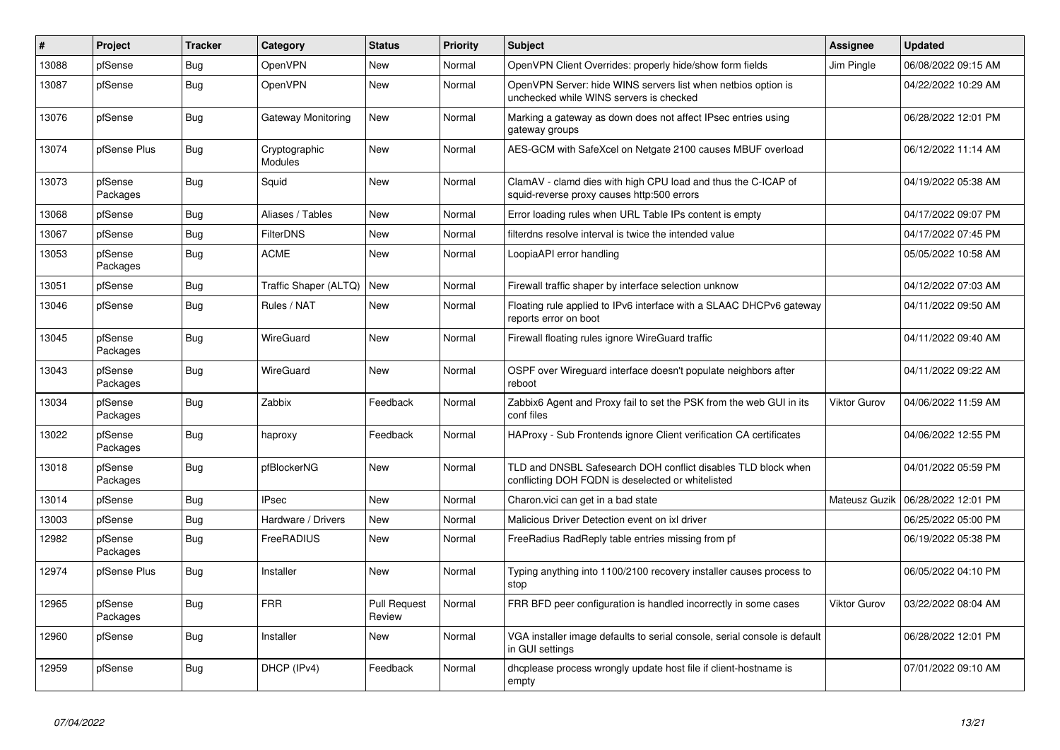| #     | Project             | <b>Tracker</b> | Category                 | <b>Status</b>                 | <b>Priority</b> | <b>Subject</b>                                                                                                     | Assignee            | <b>Updated</b>      |
|-------|---------------------|----------------|--------------------------|-------------------------------|-----------------|--------------------------------------------------------------------------------------------------------------------|---------------------|---------------------|
| 13088 | pfSense             | <b>Bug</b>     | OpenVPN                  | <b>New</b>                    | Normal          | OpenVPN Client Overrides: properly hide/show form fields                                                           | Jim Pingle          | 06/08/2022 09:15 AM |
| 13087 | pfSense             | Bug            | <b>OpenVPN</b>           | <b>New</b>                    | Normal          | OpenVPN Server: hide WINS servers list when netbios option is<br>unchecked while WINS servers is checked           |                     | 04/22/2022 10:29 AM |
| 13076 | pfSense             | Bug            | Gateway Monitoring       | New                           | Normal          | Marking a gateway as down does not affect IPsec entries using<br>gateway groups                                    |                     | 06/28/2022 12:01 PM |
| 13074 | pfSense Plus        | Bug            | Cryptographic<br>Modules | New                           | Normal          | AES-GCM with SafeXcel on Netgate 2100 causes MBUF overload                                                         |                     | 06/12/2022 11:14 AM |
| 13073 | pfSense<br>Packages | Bug            | Squid                    | <b>New</b>                    | Normal          | ClamAV - clamd dies with high CPU load and thus the C-ICAP of<br>squid-reverse proxy causes http:500 errors        |                     | 04/19/2022 05:38 AM |
| 13068 | pfSense             | Bug            | Aliases / Tables         | <b>New</b>                    | Normal          | Error loading rules when URL Table IPs content is empty                                                            |                     | 04/17/2022 09:07 PM |
| 13067 | pfSense             | Bug            | <b>FilterDNS</b>         | New                           | Normal          | filterdns resolve interval is twice the intended value                                                             |                     | 04/17/2022 07:45 PM |
| 13053 | pfSense<br>Packages | <b>Bug</b>     | <b>ACME</b>              | New                           | Normal          | LoopiaAPI error handling                                                                                           |                     | 05/05/2022 10:58 AM |
| 13051 | pfSense             | <b>Bug</b>     | Traffic Shaper (ALTQ)    | New                           | Normal          | Firewall traffic shaper by interface selection unknow                                                              |                     | 04/12/2022 07:03 AM |
| 13046 | pfSense             | Bug            | Rules / NAT              | New                           | Normal          | Floating rule applied to IPv6 interface with a SLAAC DHCPv6 gateway<br>reports error on boot                       |                     | 04/11/2022 09:50 AM |
| 13045 | pfSense<br>Packages | Bug            | <b>WireGuard</b>         | <b>New</b>                    | Normal          | Firewall floating rules ignore WireGuard traffic                                                                   |                     | 04/11/2022 09:40 AM |
| 13043 | pfSense<br>Packages | Bug            | <b>WireGuard</b>         | <b>New</b>                    | Normal          | OSPF over Wireguard interface doesn't populate neighbors after<br>reboot                                           |                     | 04/11/2022 09:22 AM |
| 13034 | pfSense<br>Packages | Bug            | Zabbix                   | Feedback                      | Normal          | Zabbix6 Agent and Proxy fail to set the PSK from the web GUI in its<br>conf files                                  | <b>Viktor Gurov</b> | 04/06/2022 11:59 AM |
| 13022 | pfSense<br>Packages | Bug            | haproxy                  | Feedback                      | Normal          | HAProxy - Sub Frontends ignore Client verification CA certificates                                                 |                     | 04/06/2022 12:55 PM |
| 13018 | pfSense<br>Packages | Bug            | pfBlockerNG              | New                           | Normal          | TLD and DNSBL Safesearch DOH conflict disables TLD block when<br>conflicting DOH FQDN is deselected or whitelisted |                     | 04/01/2022 05:59 PM |
| 13014 | pfSense             | Bug            | <b>IPsec</b>             | <b>New</b>                    | Normal          | Charon.vici can get in a bad state                                                                                 | Mateusz Guzik       | 06/28/2022 12:01 PM |
| 13003 | pfSense             | Bug            | Hardware / Drivers       | <b>New</b>                    | Normal          | Malicious Driver Detection event on ixl driver                                                                     |                     | 06/25/2022 05:00 PM |
| 12982 | pfSense<br>Packages | Bug            | FreeRADIUS               | <b>New</b>                    | Normal          | FreeRadius RadReply table entries missing from pf                                                                  |                     | 06/19/2022 05:38 PM |
| 12974 | pfSense Plus        | Bug            | Installer                | <b>New</b>                    | Normal          | Typing anything into 1100/2100 recovery installer causes process to<br>stop                                        |                     | 06/05/2022 04:10 PM |
| 12965 | pfSense<br>Packages | Bug            | <b>FRR</b>               | <b>Pull Request</b><br>Review | Normal          | FRR BFD peer configuration is handled incorrectly in some cases                                                    | <b>Viktor Gurov</b> | 03/22/2022 08:04 AM |
| 12960 | pfSense             | Bug            | Installer                | <b>New</b>                    | Normal          | VGA installer image defaults to serial console, serial console is default<br>in GUI settings                       |                     | 06/28/2022 12:01 PM |
| 12959 | pfSense             | Bug            | DHCP (IPv4)              | Feedback                      | Normal          | dhcplease process wrongly update host file if client-hostname is<br>empty                                          |                     | 07/01/2022 09:10 AM |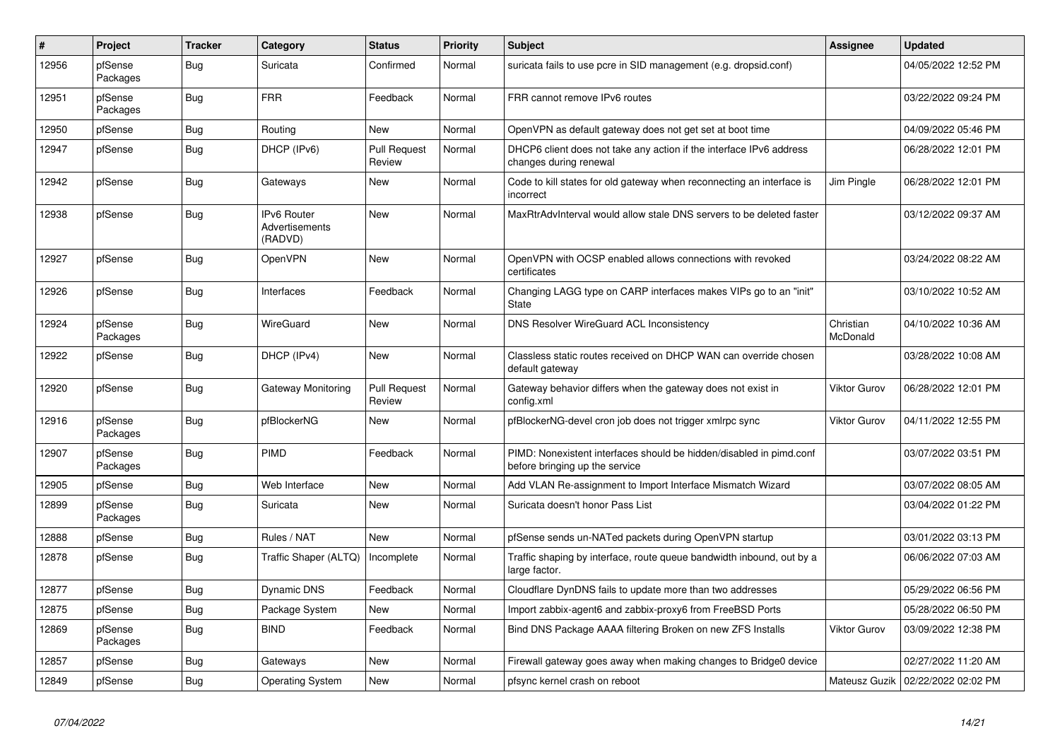| #     | Project             | <b>Tracker</b> | Category                                        | <b>Status</b>                 | <b>Priority</b> | <b>Subject</b>                                                                                        | <b>Assignee</b>       | <b>Updated</b>      |
|-------|---------------------|----------------|-------------------------------------------------|-------------------------------|-----------------|-------------------------------------------------------------------------------------------------------|-----------------------|---------------------|
| 12956 | pfSense<br>Packages | Bug            | Suricata                                        | Confirmed                     | Normal          | suricata fails to use pcre in SID management (e.g. dropsid.conf)                                      |                       | 04/05/2022 12:52 PM |
| 12951 | pfSense<br>Packages | Bug            | <b>FRR</b>                                      | Feedback                      | Normal          | FRR cannot remove IPv6 routes                                                                         |                       | 03/22/2022 09:24 PM |
| 12950 | pfSense             | Bug            | Routing                                         | <b>New</b>                    | Normal          | OpenVPN as default gateway does not get set at boot time                                              |                       | 04/09/2022 05:46 PM |
| 12947 | pfSense             | Bug            | DHCP (IPv6)                                     | <b>Pull Request</b><br>Review | Normal          | DHCP6 client does not take any action if the interface IPv6 address<br>changes during renewal         |                       | 06/28/2022 12:01 PM |
| 12942 | pfSense             | Bug            | Gateways                                        | New                           | Normal          | Code to kill states for old gateway when reconnecting an interface is<br>incorrect                    | Jim Pingle            | 06/28/2022 12:01 PM |
| 12938 | pfSense             | Bug            | <b>IPv6 Router</b><br>Advertisements<br>(RADVD) | <b>New</b>                    | Normal          | MaxRtrAdvInterval would allow stale DNS servers to be deleted faster                                  |                       | 03/12/2022 09:37 AM |
| 12927 | pfSense             | Bug            | <b>OpenVPN</b>                                  | New                           | Normal          | OpenVPN with OCSP enabled allows connections with revoked<br>certificates                             |                       | 03/24/2022 08:22 AM |
| 12926 | pfSense             | Bug            | Interfaces                                      | Feedback                      | Normal          | Changing LAGG type on CARP interfaces makes VIPs go to an "init"<br>State                             |                       | 03/10/2022 10:52 AM |
| 12924 | pfSense<br>Packages | Bug            | <b>WireGuard</b>                                | New                           | Normal          | DNS Resolver WireGuard ACL Inconsistency                                                              | Christian<br>McDonald | 04/10/2022 10:36 AM |
| 12922 | pfSense             | Bug            | DHCP (IPv4)                                     | <b>New</b>                    | Normal          | Classless static routes received on DHCP WAN can override chosen<br>default gateway                   |                       | 03/28/2022 10:08 AM |
| 12920 | pfSense             | Bug            | Gateway Monitoring                              | <b>Pull Request</b><br>Review | Normal          | Gateway behavior differs when the gateway does not exist in<br>config.xml                             | <b>Viktor Gurov</b>   | 06/28/2022 12:01 PM |
| 12916 | pfSense<br>Packages | Bug            | pfBlockerNG                                     | New                           | Normal          | pfBlockerNG-devel cron job does not trigger xmlrpc sync                                               | <b>Viktor Gurov</b>   | 04/11/2022 12:55 PM |
| 12907 | pfSense<br>Packages | <b>Bug</b>     | <b>PIMD</b>                                     | Feedback                      | Normal          | PIMD: Nonexistent interfaces should be hidden/disabled in pimd.conf<br>before bringing up the service |                       | 03/07/2022 03:51 PM |
| 12905 | pfSense             | Bug            | Web Interface                                   | New                           | Normal          | Add VLAN Re-assignment to Import Interface Mismatch Wizard                                            |                       | 03/07/2022 08:05 AM |
| 12899 | pfSense<br>Packages | Bug            | Suricata                                        | New                           | Normal          | Suricata doesn't honor Pass List                                                                      |                       | 03/04/2022 01:22 PM |
| 12888 | pfSense             | Bug            | Rules / NAT                                     | <b>New</b>                    | Normal          | pfSense sends un-NATed packets during OpenVPN startup                                                 |                       | 03/01/2022 03:13 PM |
| 12878 | pfSense             | Bug            | Traffic Shaper (ALTQ)                           | Incomplete                    | Normal          | Traffic shaping by interface, route queue bandwidth inbound, out by a<br>large factor.                |                       | 06/06/2022 07:03 AM |
| 12877 | pfSense             | Bug            | <b>Dynamic DNS</b>                              | Feedback                      | Normal          | Cloudflare DynDNS fails to update more than two addresses                                             |                       | 05/29/2022 06:56 PM |
| 12875 | pfSense             | <b>Bug</b>     | Package System                                  | New                           | Normal          | Import zabbix-agent6 and zabbix-proxy6 from FreeBSD Ports                                             |                       | 05/28/2022 06:50 PM |
| 12869 | pfSense<br>Packages | <b>Bug</b>     | <b>BIND</b>                                     | Feedback                      | Normal          | Bind DNS Package AAAA filtering Broken on new ZFS Installs                                            | <b>Viktor Gurov</b>   | 03/09/2022 12:38 PM |
| 12857 | pfSense             | Bug            | Gateways                                        | New                           | Normal          | Firewall gateway goes away when making changes to Bridge0 device                                      |                       | 02/27/2022 11:20 AM |
| 12849 | pfSense             | Bug            | <b>Operating System</b>                         | New                           | Normal          | pfsync kernel crash on reboot                                                                         | Mateusz Guzik         | 02/22/2022 02:02 PM |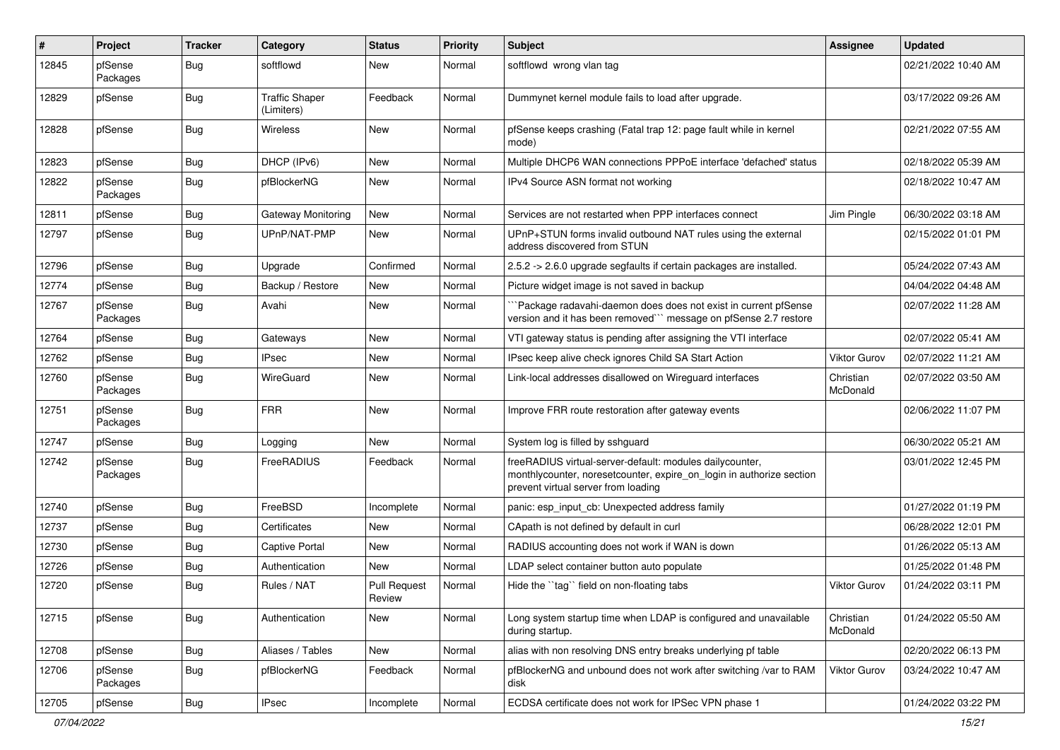| $\#$  | Project             | <b>Tracker</b> | Category                            | <b>Status</b>                 | <b>Priority</b> | <b>Subject</b>                                                                                                                                                          | Assignee              | <b>Updated</b>      |
|-------|---------------------|----------------|-------------------------------------|-------------------------------|-----------------|-------------------------------------------------------------------------------------------------------------------------------------------------------------------------|-----------------------|---------------------|
| 12845 | pfSense<br>Packages | Bug            | softflowd                           | New                           | Normal          | softflowd wrong vlan tag                                                                                                                                                |                       | 02/21/2022 10:40 AM |
| 12829 | pfSense             | Bug            | <b>Traffic Shaper</b><br>(Limiters) | Feedback                      | Normal          | Dummynet kernel module fails to load after upgrade.                                                                                                                     |                       | 03/17/2022 09:26 AM |
| 12828 | pfSense             | Bug            | Wireless                            | New                           | Normal          | pfSense keeps crashing (Fatal trap 12: page fault while in kernel<br>mode)                                                                                              |                       | 02/21/2022 07:55 AM |
| 12823 | pfSense             | Bug            | DHCP (IPv6)                         | New                           | Normal          | Multiple DHCP6 WAN connections PPPoE interface 'defached' status                                                                                                        |                       | 02/18/2022 05:39 AM |
| 12822 | pfSense<br>Packages | Bug            | pfBlockerNG                         | New                           | Normal          | IPv4 Source ASN format not working                                                                                                                                      |                       | 02/18/2022 10:47 AM |
| 12811 | pfSense             | Bug            | Gateway Monitoring                  | New                           | Normal          | Services are not restarted when PPP interfaces connect                                                                                                                  | Jim Pingle            | 06/30/2022 03:18 AM |
| 12797 | pfSense             | Bug            | UPnP/NAT-PMP                        | New                           | Normal          | UPnP+STUN forms invalid outbound NAT rules using the external<br>address discovered from STUN                                                                           |                       | 02/15/2022 01:01 PM |
| 12796 | pfSense             | Bug            | Upgrade                             | Confirmed                     | Normal          | 2.5.2 -> 2.6.0 upgrade segfaults if certain packages are installed.                                                                                                     |                       | 05/24/2022 07:43 AM |
| 12774 | pfSense             | Bug            | Backup / Restore                    | New                           | Normal          | Picture widget image is not saved in backup                                                                                                                             |                       | 04/04/2022 04:48 AM |
| 12767 | pfSense<br>Packages | Bug            | Avahi                               | New                           | Normal          | Package radavahi-daemon does does not exist in current pfSense<br>version and it has been removed" message on pfSense 2.7 restore                                       |                       | 02/07/2022 11:28 AM |
| 12764 | pfSense             | Bug            | Gateways                            | New                           | Normal          | VTI gateway status is pending after assigning the VTI interface                                                                                                         |                       | 02/07/2022 05:41 AM |
| 12762 | pfSense             | Bug            | <b>IPsec</b>                        | New                           | Normal          | IPsec keep alive check ignores Child SA Start Action                                                                                                                    | <b>Viktor Gurov</b>   | 02/07/2022 11:21 AM |
| 12760 | pfSense<br>Packages | Bug            | WireGuard                           | New                           | Normal          | Link-local addresses disallowed on Wireguard interfaces                                                                                                                 | Christian<br>McDonald | 02/07/2022 03:50 AM |
| 12751 | pfSense<br>Packages | <b>Bug</b>     | <b>FRR</b>                          | New                           | Normal          | Improve FRR route restoration after gateway events                                                                                                                      |                       | 02/06/2022 11:07 PM |
| 12747 | pfSense             | Bug            | Logging                             | New                           | Normal          | System log is filled by sshguard                                                                                                                                        |                       | 06/30/2022 05:21 AM |
| 12742 | pfSense<br>Packages | Bug            | FreeRADIUS                          | Feedback                      | Normal          | freeRADIUS virtual-server-default: modules dailycounter,<br>monthlycounter, noresetcounter, expire_on_login in authorize section<br>prevent virtual server from loading |                       | 03/01/2022 12:45 PM |
| 12740 | pfSense             | Bug            | FreeBSD                             | Incomplete                    | Normal          | panic: esp_input_cb: Unexpected address family                                                                                                                          |                       | 01/27/2022 01:19 PM |
| 12737 | pfSense             | Bug            | Certificates                        | New                           | Normal          | CApath is not defined by default in curl                                                                                                                                |                       | 06/28/2022 12:01 PM |
| 12730 | pfSense             | Bug            | <b>Captive Portal</b>               | <b>New</b>                    | Normal          | RADIUS accounting does not work if WAN is down                                                                                                                          |                       | 01/26/2022 05:13 AM |
| 12726 | pfSense             | Bug            | Authentication                      | New                           | Normal          | LDAP select container button auto populate                                                                                                                              |                       | 01/25/2022 01:48 PM |
| 12720 | pfSense             | Bug            | Rules / NAT                         | <b>Pull Request</b><br>Review | Normal          | Hide the "tag" field on non-floating tabs                                                                                                                               | <b>Viktor Gurov</b>   | 01/24/2022 03:11 PM |
| 12715 | pfSense             | Bug            | Authentication                      | New                           | Normal          | Long system startup time when LDAP is configured and unavailable<br>during startup.                                                                                     | Christian<br>McDonald | 01/24/2022 05:50 AM |
| 12708 | pfSense             | <b>Bug</b>     | Aliases / Tables                    | New                           | Normal          | alias with non resolving DNS entry breaks underlying pf table                                                                                                           |                       | 02/20/2022 06:13 PM |
| 12706 | pfSense<br>Packages | <b>Bug</b>     | pfBlockerNG                         | Feedback                      | Normal          | pfBlockerNG and unbound does not work after switching /var to RAM<br>disk                                                                                               | <b>Viktor Gurov</b>   | 03/24/2022 10:47 AM |
| 12705 | pfSense             | Bug            | IPsec                               | Incomplete                    | Normal          | ECDSA certificate does not work for IPSec VPN phase 1                                                                                                                   |                       | 01/24/2022 03:22 PM |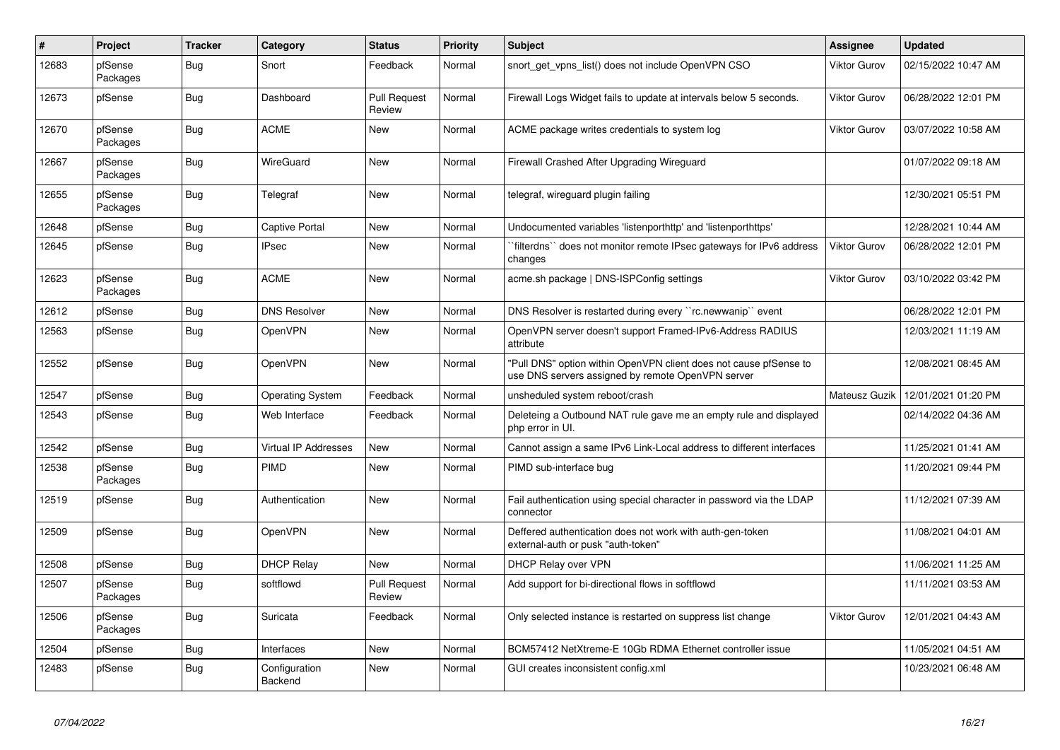| #     | Project             | <b>Tracker</b> | Category                    | <b>Status</b>                 | <b>Priority</b> | <b>Subject</b>                                                                                                         | <b>Assignee</b>     | <b>Updated</b>      |
|-------|---------------------|----------------|-----------------------------|-------------------------------|-----------------|------------------------------------------------------------------------------------------------------------------------|---------------------|---------------------|
| 12683 | pfSense<br>Packages | Bug            | Snort                       | Feedback                      | Normal          | snort get vpns list() does not include OpenVPN CSO                                                                     | <b>Viktor Gurov</b> | 02/15/2022 10:47 AM |
| 12673 | pfSense             | Bug            | Dashboard                   | <b>Pull Request</b><br>Review | Normal          | Firewall Logs Widget fails to update at intervals below 5 seconds.                                                     | <b>Viktor Gurov</b> | 06/28/2022 12:01 PM |
| 12670 | pfSense<br>Packages | Bug            | <b>ACME</b>                 | <b>New</b>                    | Normal          | ACME package writes credentials to system log                                                                          | <b>Viktor Gurov</b> | 03/07/2022 10:58 AM |
| 12667 | pfSense<br>Packages | Bug            | <b>WireGuard</b>            | New                           | Normal          | Firewall Crashed After Upgrading Wireguard                                                                             |                     | 01/07/2022 09:18 AM |
| 12655 | pfSense<br>Packages | Bug            | Telegraf                    | New                           | Normal          | telegraf, wireguard plugin failing                                                                                     |                     | 12/30/2021 05:51 PM |
| 12648 | pfSense             | Bug            | <b>Captive Portal</b>       | New                           | Normal          | Undocumented variables 'listenporthttp' and 'listenporthttps'                                                          |                     | 12/28/2021 10:44 AM |
| 12645 | pfSense             | Bug            | <b>IPsec</b>                | New                           | Normal          | `filterdns`` does not monitor remote IPsec gateways for IPv6 address<br>changes                                        | <b>Viktor Gurov</b> | 06/28/2022 12:01 PM |
| 12623 | pfSense<br>Packages | Bug            | <b>ACME</b>                 | <b>New</b>                    | Normal          | acme.sh package   DNS-ISPConfig settings                                                                               | <b>Viktor Gurov</b> | 03/10/2022 03:42 PM |
| 12612 | pfSense             | Bug            | <b>DNS Resolver</b>         | New                           | Normal          | DNS Resolver is restarted during every "rc.newwanip" event                                                             |                     | 06/28/2022 12:01 PM |
| 12563 | pfSense             | Bug            | OpenVPN                     | New                           | Normal          | OpenVPN server doesn't support Framed-IPv6-Address RADIUS<br>attribute                                                 |                     | 12/03/2021 11:19 AM |
| 12552 | pfSense             | Bug            | <b>OpenVPN</b>              | New                           | Normal          | 'Pull DNS" option within OpenVPN client does not cause pfSense to<br>use DNS servers assigned by remote OpenVPN server |                     | 12/08/2021 08:45 AM |
| 12547 | pfSense             | Bug            | <b>Operating System</b>     | Feedback                      | Normal          | unsheduled system reboot/crash                                                                                         | Mateusz Guzik       | 12/01/2021 01:20 PM |
| 12543 | pfSense             | Bug            | Web Interface               | Feedback                      | Normal          | Deleteing a Outbound NAT rule gave me an empty rule and displayed<br>php error in UI.                                  |                     | 02/14/2022 04:36 AM |
| 12542 | pfSense             | Bug            | <b>Virtual IP Addresses</b> | New                           | Normal          | Cannot assign a same IPv6 Link-Local address to different interfaces                                                   |                     | 11/25/2021 01:41 AM |
| 12538 | pfSense<br>Packages | Bug            | PIMD                        | <b>New</b>                    | Normal          | PIMD sub-interface bug                                                                                                 |                     | 11/20/2021 09:44 PM |
| 12519 | pfSense             | <b>Bug</b>     | Authentication              | New                           | Normal          | Fail authentication using special character in password via the LDAP<br>connector                                      |                     | 11/12/2021 07:39 AM |
| 12509 | pfSense             | Bug            | <b>OpenVPN</b>              | New                           | Normal          | Deffered authentication does not work with auth-gen-token<br>external-auth or pusk "auth-token"                        |                     | 11/08/2021 04:01 AM |
| 12508 | pfSense             | Bug            | <b>DHCP Relay</b>           | New                           | Normal          | DHCP Relay over VPN                                                                                                    |                     | 11/06/2021 11:25 AM |
| 12507 | pfSense<br>Packages | Bug            | softflowd                   | <b>Pull Request</b><br>Review | Normal          | Add support for bi-directional flows in softflowd                                                                      |                     | 11/11/2021 03:53 AM |
| 12506 | pfSense<br>Packages | Bug            | Suricata                    | Feedback                      | Normal          | Only selected instance is restarted on suppress list change                                                            | <b>Viktor Gurov</b> | 12/01/2021 04:43 AM |
| 12504 | pfSense             | <b>Bug</b>     | <b>Interfaces</b>           | <b>New</b>                    | Normal          | BCM57412 NetXtreme-E 10Gb RDMA Ethernet controller issue                                                               |                     | 11/05/2021 04:51 AM |
| 12483 | pfSense             | Bug            | Configuration<br>Backend    | <b>New</b>                    | Normal          | GUI creates inconsistent config.xml                                                                                    |                     | 10/23/2021 06:48 AM |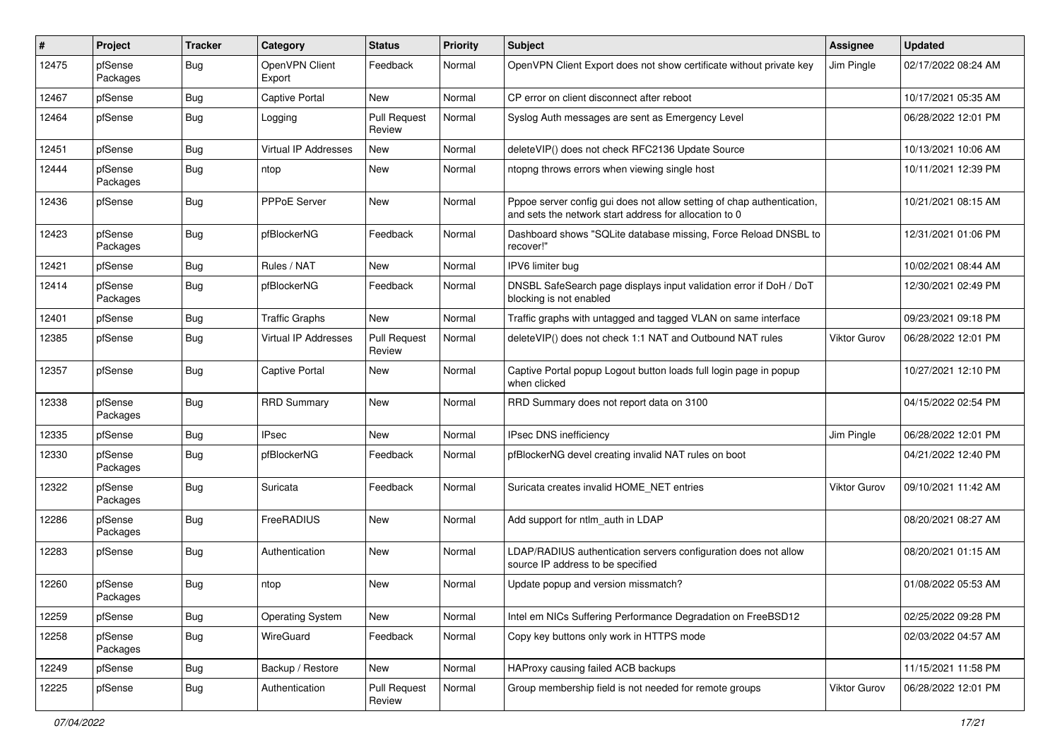| $\pmb{\#}$ | Project             | <b>Tracker</b> | Category                    | <b>Status</b>                 | <b>Priority</b> | <b>Subject</b>                                                                                                                   | Assignee            | <b>Updated</b>      |
|------------|---------------------|----------------|-----------------------------|-------------------------------|-----------------|----------------------------------------------------------------------------------------------------------------------------------|---------------------|---------------------|
| 12475      | pfSense<br>Packages | Bug            | OpenVPN Client<br>Export    | Feedback                      | Normal          | OpenVPN Client Export does not show certificate without private key                                                              | Jim Pingle          | 02/17/2022 08:24 AM |
| 12467      | pfSense             | Bug            | <b>Captive Portal</b>       | New                           | Normal          | CP error on client disconnect after reboot                                                                                       |                     | 10/17/2021 05:35 AM |
| 12464      | pfSense             | Bug            | Logging                     | <b>Pull Request</b><br>Review | Normal          | Syslog Auth messages are sent as Emergency Level                                                                                 |                     | 06/28/2022 12:01 PM |
| 12451      | pfSense             | Bug            | <b>Virtual IP Addresses</b> | New                           | Normal          | deleteVIP() does not check RFC2136 Update Source                                                                                 |                     | 10/13/2021 10:06 AM |
| 12444      | pfSense<br>Packages | Bug            | ntop                        | New                           | Normal          | ntopng throws errors when viewing single host                                                                                    |                     | 10/11/2021 12:39 PM |
| 12436      | pfSense             | Bug            | <b>PPPoE Server</b>         | <b>New</b>                    | Normal          | Pppoe server config gui does not allow setting of chap authentication,<br>and sets the network start address for allocation to 0 |                     | 10/21/2021 08:15 AM |
| 12423      | pfSense<br>Packages | <b>Bug</b>     | pfBlockerNG                 | Feedback                      | Normal          | Dashboard shows "SQLite database missing, Force Reload DNSBL to<br>recover!"                                                     |                     | 12/31/2021 01:06 PM |
| 12421      | pfSense             | <b>Bug</b>     | Rules / NAT                 | New                           | Normal          | IPV6 limiter bug                                                                                                                 |                     | 10/02/2021 08:44 AM |
| 12414      | pfSense<br>Packages | <b>Bug</b>     | pfBlockerNG                 | Feedback                      | Normal          | DNSBL SafeSearch page displays input validation error if DoH / DoT<br>blocking is not enabled                                    |                     | 12/30/2021 02:49 PM |
| 12401      | pfSense             | <b>Bug</b>     | <b>Traffic Graphs</b>       | New                           | Normal          | Traffic graphs with untagged and tagged VLAN on same interface                                                                   |                     | 09/23/2021 09:18 PM |
| 12385      | pfSense             | Bug            | <b>Virtual IP Addresses</b> | <b>Pull Request</b><br>Review | Normal          | deleteVIP() does not check 1:1 NAT and Outbound NAT rules                                                                        | <b>Viktor Gurov</b> | 06/28/2022 12:01 PM |
| 12357      | pfSense             | <b>Bug</b>     | <b>Captive Portal</b>       | New                           | Normal          | Captive Portal popup Logout button loads full login page in popup<br>when clicked                                                |                     | 10/27/2021 12:10 PM |
| 12338      | pfSense<br>Packages | <b>Bug</b>     | <b>RRD Summary</b>          | New                           | Normal          | RRD Summary does not report data on 3100                                                                                         |                     | 04/15/2022 02:54 PM |
| 12335      | pfSense             | Bug            | <b>IPsec</b>                | New                           | Normal          | IPsec DNS inefficiency                                                                                                           | Jim Pingle          | 06/28/2022 12:01 PM |
| 12330      | pfSense<br>Packages | <b>Bug</b>     | pfBlockerNG                 | Feedback                      | Normal          | pfBlockerNG devel creating invalid NAT rules on boot                                                                             |                     | 04/21/2022 12:40 PM |
| 12322      | pfSense<br>Packages | <b>Bug</b>     | Suricata                    | Feedback                      | Normal          | Suricata creates invalid HOME_NET entries                                                                                        | <b>Viktor Gurov</b> | 09/10/2021 11:42 AM |
| 12286      | pfSense<br>Packages | <b>Bug</b>     | FreeRADIUS                  | New                           | Normal          | Add support for ntlm auth in LDAP                                                                                                |                     | 08/20/2021 08:27 AM |
| 12283      | pfSense             | <b>Bug</b>     | Authentication              | New                           | Normal          | LDAP/RADIUS authentication servers configuration does not allow<br>source IP address to be specified                             |                     | 08/20/2021 01:15 AM |
| 12260      | pfSense<br>Packages | <b>Bug</b>     | ntop                        | New                           | Normal          | Update popup and version missmatch?                                                                                              |                     | 01/08/2022 05:53 AM |
| 12259      | pfSense             | Bug            | <b>Operating System</b>     | New                           | Normal          | Intel em NICs Suffering Performance Degradation on FreeBSD12                                                                     |                     | 02/25/2022 09:28 PM |
| 12258      | pfSense<br>Packages | <b>Bug</b>     | WireGuard                   | Feedback                      | Normal          | Copy key buttons only work in HTTPS mode                                                                                         |                     | 02/03/2022 04:57 AM |
| 12249      | pfSense             | <b>Bug</b>     | Backup / Restore            | New                           | Normal          | HAProxy causing failed ACB backups                                                                                               |                     | 11/15/2021 11:58 PM |
| 12225      | pfSense             | <b>Bug</b>     | Authentication              | <b>Pull Request</b><br>Review | Normal          | Group membership field is not needed for remote groups                                                                           | Viktor Gurov        | 06/28/2022 12:01 PM |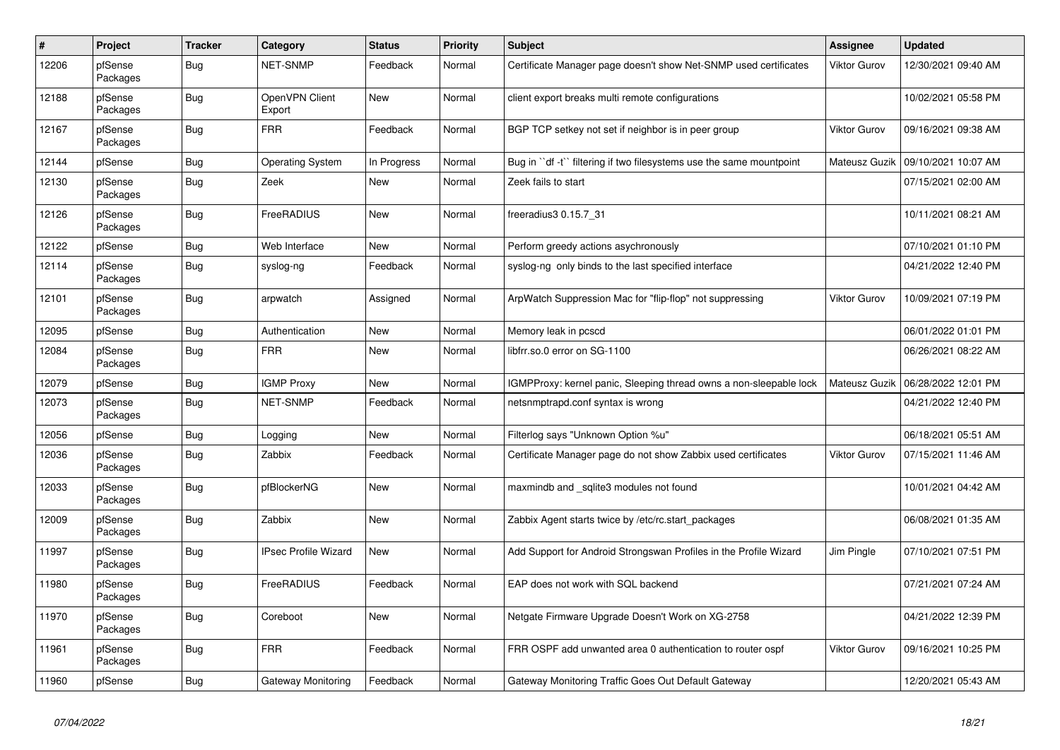| $\vert$ # | Project             | <b>Tracker</b> | Category                    | <b>Status</b> | <b>Priority</b> | <b>Subject</b>                                                      | <b>Assignee</b>     | <b>Updated</b>      |
|-----------|---------------------|----------------|-----------------------------|---------------|-----------------|---------------------------------------------------------------------|---------------------|---------------------|
| 12206     | pfSense<br>Packages | Bug            | <b>NET-SNMP</b>             | Feedback      | Normal          | Certificate Manager page doesn't show Net-SNMP used certificates    | <b>Viktor Gurov</b> | 12/30/2021 09:40 AM |
| 12188     | pfSense<br>Packages | <b>Bug</b>     | OpenVPN Client<br>Export    | New           | Normal          | client export breaks multi remote configurations                    |                     | 10/02/2021 05:58 PM |
| 12167     | pfSense<br>Packages | Bug            | <b>FRR</b>                  | Feedback      | Normal          | BGP TCP setkey not set if neighbor is in peer group                 | <b>Viktor Gurov</b> | 09/16/2021 09:38 AM |
| 12144     | pfSense             | Bug            | <b>Operating System</b>     | In Progress   | Normal          | Bug in "df -t" filtering if two filesystems use the same mountpoint | Mateusz Guzik       | 09/10/2021 10:07 AM |
| 12130     | pfSense<br>Packages | Bug            | Zeek                        | <b>New</b>    | Normal          | Zeek fails to start                                                 |                     | 07/15/2021 02:00 AM |
| 12126     | pfSense<br>Packages | Bug            | FreeRADIUS                  | New           | Normal          | freeradius3 0.15.7 31                                               |                     | 10/11/2021 08:21 AM |
| 12122     | pfSense             | Bug            | Web Interface               | New           | Normal          | Perform greedy actions asychronously                                |                     | 07/10/2021 01:10 PM |
| 12114     | pfSense<br>Packages | Bug            | syslog-ng                   | Feedback      | Normal          | syslog-ng only binds to the last specified interface                |                     | 04/21/2022 12:40 PM |
| 12101     | pfSense<br>Packages | Bug            | arpwatch                    | Assigned      | Normal          | ArpWatch Suppression Mac for "flip-flop" not suppressing            | <b>Viktor Gurov</b> | 10/09/2021 07:19 PM |
| 12095     | pfSense             | Bug            | Authentication              | <b>New</b>    | Normal          | Memory leak in pcscd                                                |                     | 06/01/2022 01:01 PM |
| 12084     | pfSense<br>Packages | Bug            | <b>FRR</b>                  | <b>New</b>    | Normal          | libfrr.so.0 error on SG-1100                                        |                     | 06/26/2021 08:22 AM |
| 12079     | pfSense             | Bug            | <b>IGMP Proxy</b>           | New           | Normal          | IGMPProxy: kernel panic, Sleeping thread owns a non-sleepable lock  | Mateusz Guzik       | 06/28/2022 12:01 PM |
| 12073     | pfSense<br>Packages | Bug            | NET-SNMP                    | Feedback      | Normal          | netsnmptrapd.conf syntax is wrong                                   |                     | 04/21/2022 12:40 PM |
| 12056     | pfSense             | <b>Bug</b>     | Logging                     | <b>New</b>    | Normal          | Filterlog says "Unknown Option %u"                                  |                     | 06/18/2021 05:51 AM |
| 12036     | pfSense<br>Packages | Bug            | Zabbix                      | Feedback      | Normal          | Certificate Manager page do not show Zabbix used certificates       | <b>Viktor Gurov</b> | 07/15/2021 11:46 AM |
| 12033     | pfSense<br>Packages | Bug            | pfBlockerNG                 | <b>New</b>    | Normal          | maxmindb and _sqlite3 modules not found                             |                     | 10/01/2021 04:42 AM |
| 12009     | pfSense<br>Packages | Bug            | Zabbix                      | New           | Normal          | Zabbix Agent starts twice by /etc/rc.start packages                 |                     | 06/08/2021 01:35 AM |
| 11997     | pfSense<br>Packages | Bug            | <b>IPsec Profile Wizard</b> | New           | Normal          | Add Support for Android Strongswan Profiles in the Profile Wizard   | Jim Pingle          | 07/10/2021 07:51 PM |
| 11980     | pfSense<br>Packages | Bug            | FreeRADIUS                  | Feedback      | Normal          | EAP does not work with SQL backend                                  |                     | 07/21/2021 07:24 AM |
| 11970     | pfSense<br>Packages | <b>Bug</b>     | Coreboot                    | <b>New</b>    | Normal          | Netgate Firmware Upgrade Doesn't Work on XG-2758                    |                     | 04/21/2022 12:39 PM |
| 11961     | pfSense<br>Packages | Bug            | <b>FRR</b>                  | Feedback      | Normal          | FRR OSPF add unwanted area 0 authentication to router ospf          | <b>Viktor Gurov</b> | 09/16/2021 10:25 PM |
| 11960     | pfSense             | <b>Bug</b>     | Gateway Monitoring          | Feedback      | Normal          | Gateway Monitoring Traffic Goes Out Default Gateway                 |                     | 12/20/2021 05:43 AM |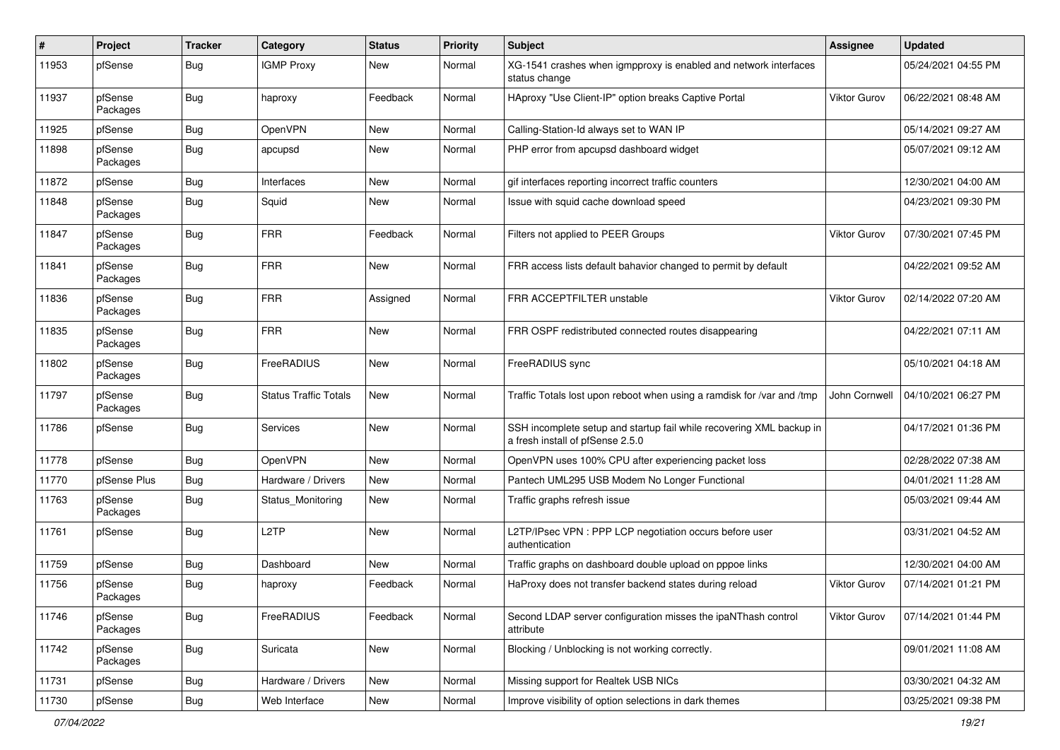| ∦     | Project             | <b>Tracker</b> | Category                     | <b>Status</b> | <b>Priority</b> | <b>Subject</b>                                                                                           | Assignee            | <b>Updated</b>      |
|-------|---------------------|----------------|------------------------------|---------------|-----------------|----------------------------------------------------------------------------------------------------------|---------------------|---------------------|
| 11953 | pfSense             | <b>Bug</b>     | <b>IGMP Proxy</b>            | New           | Normal          | XG-1541 crashes when igmpproxy is enabled and network interfaces<br>status change                        |                     | 05/24/2021 04:55 PM |
| 11937 | pfSense<br>Packages | Bug            | haproxy                      | Feedback      | Normal          | HAproxy "Use Client-IP" option breaks Captive Portal                                                     | <b>Viktor Gurov</b> | 06/22/2021 08:48 AM |
| 11925 | pfSense             | Bug            | OpenVPN                      | New           | Normal          | Calling-Station-Id always set to WAN IP                                                                  |                     | 05/14/2021 09:27 AM |
| 11898 | pfSense<br>Packages | Bug            | apcupsd                      | New           | Normal          | PHP error from apcupsd dashboard widget                                                                  |                     | 05/07/2021 09:12 AM |
| 11872 | pfSense             | <b>Bug</b>     | Interfaces                   | New           | Normal          | gif interfaces reporting incorrect traffic counters                                                      |                     | 12/30/2021 04:00 AM |
| 11848 | pfSense<br>Packages | <b>Bug</b>     | Squid                        | New           | Normal          | Issue with squid cache download speed                                                                    |                     | 04/23/2021 09:30 PM |
| 11847 | pfSense<br>Packages | Bug            | <b>FRR</b>                   | Feedback      | Normal          | Filters not applied to PEER Groups                                                                       | Viktor Gurov        | 07/30/2021 07:45 PM |
| 11841 | pfSense<br>Packages | <b>Bug</b>     | <b>FRR</b>                   | New           | Normal          | FRR access lists default bahavior changed to permit by default                                           |                     | 04/22/2021 09:52 AM |
| 11836 | pfSense<br>Packages | Bug            | <b>FRR</b>                   | Assigned      | Normal          | FRR ACCEPTFILTER unstable                                                                                | <b>Viktor Gurov</b> | 02/14/2022 07:20 AM |
| 11835 | pfSense<br>Packages | Bug            | <b>FRR</b>                   | New           | Normal          | FRR OSPF redistributed connected routes disappearing                                                     |                     | 04/22/2021 07:11 AM |
| 11802 | pfSense<br>Packages | Bug            | FreeRADIUS                   | <b>New</b>    | Normal          | FreeRADIUS sync                                                                                          |                     | 05/10/2021 04:18 AM |
| 11797 | pfSense<br>Packages | Bug            | <b>Status Traffic Totals</b> | New           | Normal          | Traffic Totals lost upon reboot when using a ramdisk for /var and /tmp                                   | John Cornwell       | 04/10/2021 06:27 PM |
| 11786 | pfSense             | Bug            | Services                     | New           | Normal          | SSH incomplete setup and startup fail while recovering XML backup in<br>a fresh install of pfSense 2.5.0 |                     | 04/17/2021 01:36 PM |
| 11778 | pfSense             | Bug            | OpenVPN                      | New           | Normal          | OpenVPN uses 100% CPU after experiencing packet loss                                                     |                     | 02/28/2022 07:38 AM |
| 11770 | pfSense Plus        | <b>Bug</b>     | Hardware / Drivers           | New           | Normal          | Pantech UML295 USB Modem No Longer Functional                                                            |                     | 04/01/2021 11:28 AM |
| 11763 | pfSense<br>Packages | Bug            | Status_Monitoring            | New           | Normal          | Traffic graphs refresh issue                                                                             |                     | 05/03/2021 09:44 AM |
| 11761 | pfSense             | Bug            | L <sub>2</sub> TP            | New           | Normal          | L2TP/IPsec VPN : PPP LCP negotiation occurs before user<br>authentication                                |                     | 03/31/2021 04:52 AM |
| 11759 | pfSense             | Bug            | Dashboard                    | New           | Normal          | Traffic graphs on dashboard double upload on pppoe links                                                 |                     | 12/30/2021 04:00 AM |
| 11756 | pfSense<br>Packages | Bug            | haproxy                      | Feedback      | Normal          | HaProxy does not transfer backend states during reload                                                   | <b>Viktor Gurov</b> | 07/14/2021 01:21 PM |
| 11746 | pfSense<br>Packages | <b>Bug</b>     | FreeRADIUS                   | Feedback      | Normal          | Second LDAP server configuration misses the ipaNThash control<br>attribute                               | <b>Viktor Gurov</b> | 07/14/2021 01:44 PM |
| 11742 | pfSense<br>Packages | Bug            | Suricata                     | New           | Normal          | Blocking / Unblocking is not working correctly.                                                          |                     | 09/01/2021 11:08 AM |
| 11731 | pfSense             | Bug            | Hardware / Drivers           | New           | Normal          | Missing support for Realtek USB NICs                                                                     |                     | 03/30/2021 04:32 AM |
| 11730 | pfSense             | Bug            | Web Interface                | New           | Normal          | Improve visibility of option selections in dark themes                                                   |                     | 03/25/2021 09:38 PM |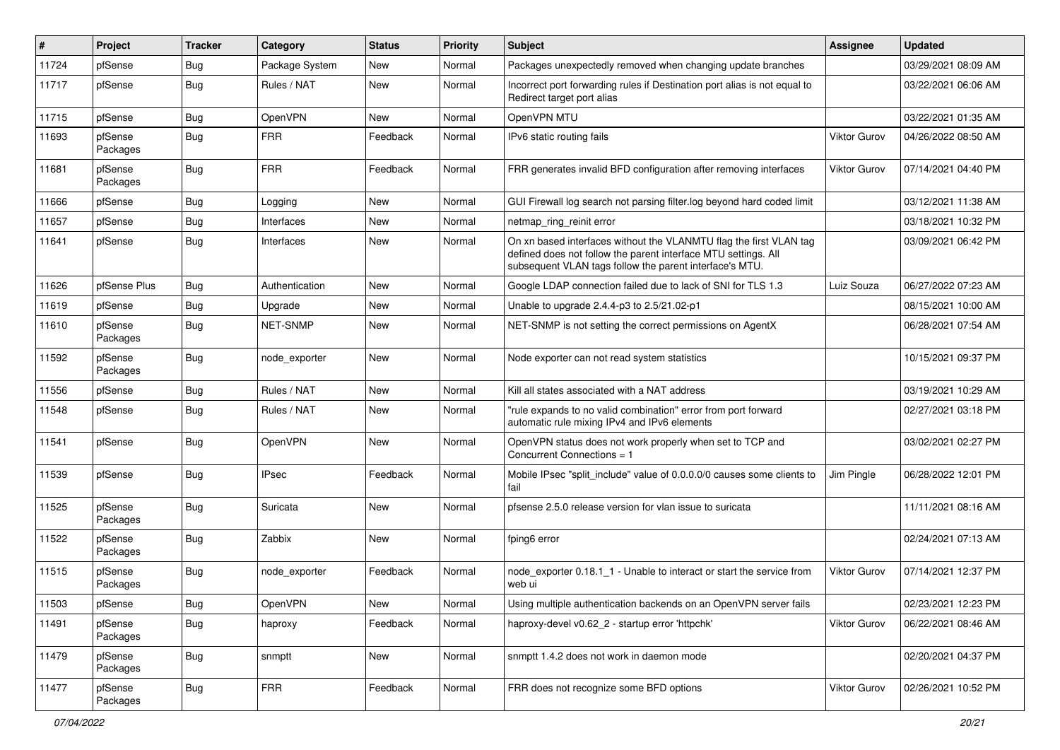| #     | Project             | <b>Tracker</b> | Category          | <b>Status</b> | <b>Priority</b> | <b>Subject</b>                                                                                                                                                                                  | Assignee            | <b>Updated</b>      |
|-------|---------------------|----------------|-------------------|---------------|-----------------|-------------------------------------------------------------------------------------------------------------------------------------------------------------------------------------------------|---------------------|---------------------|
| 11724 | pfSense             | Bug            | Package System    | New           | Normal          | Packages unexpectedly removed when changing update branches                                                                                                                                     |                     | 03/29/2021 08:09 AM |
| 11717 | pfSense             | <b>Bug</b>     | Rules / NAT       | <b>New</b>    | Normal          | Incorrect port forwarding rules if Destination port alias is not equal to<br>Redirect target port alias                                                                                         |                     | 03/22/2021 06:06 AM |
| 11715 | pfSense             | <b>Bug</b>     | OpenVPN           | <b>New</b>    | Normal          | OpenVPN MTU                                                                                                                                                                                     |                     | 03/22/2021 01:35 AM |
| 11693 | pfSense<br>Packages | <b>Bug</b>     | <b>FRR</b>        | Feedback      | Normal          | IPv6 static routing fails                                                                                                                                                                       | <b>Viktor Gurov</b> | 04/26/2022 08:50 AM |
| 11681 | pfSense<br>Packages | Bug            | <b>FRR</b>        | Feedback      | Normal          | FRR generates invalid BFD configuration after removing interfaces                                                                                                                               | <b>Viktor Gurov</b> | 07/14/2021 04:40 PM |
| 11666 | pfSense             | Bug            | Logging           | <b>New</b>    | Normal          | GUI Firewall log search not parsing filter.log beyond hard coded limit                                                                                                                          |                     | 03/12/2021 11:38 AM |
| 11657 | pfSense             | Bug            | <b>Interfaces</b> | New           | Normal          | netmap_ring_reinit error                                                                                                                                                                        |                     | 03/18/2021 10:32 PM |
| 11641 | pfSense             | Bug            | Interfaces        | New           | Normal          | On xn based interfaces without the VLANMTU flag the first VLAN tag<br>defined does not follow the parent interface MTU settings. All<br>subsequent VLAN tags follow the parent interface's MTU. |                     | 03/09/2021 06:42 PM |
| 11626 | pfSense Plus        | Bug            | Authentication    | New           | Normal          | Google LDAP connection failed due to lack of SNI for TLS 1.3                                                                                                                                    | Luiz Souza          | 06/27/2022 07:23 AM |
| 11619 | pfSense             | Bug            | Upgrade           | New           | Normal          | Unable to upgrade 2.4.4-p3 to 2.5/21.02-p1                                                                                                                                                      |                     | 08/15/2021 10:00 AM |
| 11610 | pfSense<br>Packages | Bug            | <b>NET-SNMP</b>   | <b>New</b>    | Normal          | NET-SNMP is not setting the correct permissions on AgentX                                                                                                                                       |                     | 06/28/2021 07:54 AM |
| 11592 | pfSense<br>Packages | Bug            | node exporter     | New           | Normal          | Node exporter can not read system statistics                                                                                                                                                    |                     | 10/15/2021 09:37 PM |
| 11556 | pfSense             | Bug            | Rules / NAT       | New           | Normal          | Kill all states associated with a NAT address                                                                                                                                                   |                     | 03/19/2021 10:29 AM |
| 11548 | pfSense             | <b>Bug</b>     | Rules / NAT       | New           | Normal          | "rule expands to no valid combination" error from port forward<br>automatic rule mixing IPv4 and IPv6 elements                                                                                  |                     | 02/27/2021 03:18 PM |
| 11541 | pfSense             | Bug            | OpenVPN           | New           | Normal          | OpenVPN status does not work properly when set to TCP and<br>Concurrent Connections = 1                                                                                                         |                     | 03/02/2021 02:27 PM |
| 11539 | pfSense             | Bug            | <b>IPsec</b>      | Feedback      | Normal          | Mobile IPsec "split include" value of 0.0.0.0/0 causes some clients to<br>fail                                                                                                                  | Jim Pingle          | 06/28/2022 12:01 PM |
| 11525 | pfSense<br>Packages | <b>Bug</b>     | Suricata          | New           | Normal          | pfsense 2.5.0 release version for vlan issue to suricata                                                                                                                                        |                     | 11/11/2021 08:16 AM |
| 11522 | pfSense<br>Packages | Bug            | Zabbix            | New           | Normal          | fping6 error                                                                                                                                                                                    |                     | 02/24/2021 07:13 AM |
| 11515 | pfSense<br>Packages | Bug            | node_exporter     | Feedback      | Normal          | node exporter 0.18.1 1 - Unable to interact or start the service from<br>web ui                                                                                                                 | <b>Viktor Gurov</b> | 07/14/2021 12:37 PM |
| 11503 | pfSense             | Bug            | OpenVPN           | New           | Normal          | Using multiple authentication backends on an OpenVPN server fails                                                                                                                               |                     | 02/23/2021 12:23 PM |
| 11491 | pfSense<br>Packages | <b>Bug</b>     | haproxy           | Feedback      | Normal          | haproxy-devel v0.62_2 - startup error 'httpchk'                                                                                                                                                 | <b>Viktor Gurov</b> | 06/22/2021 08:46 AM |
| 11479 | pfSense<br>Packages | <b>Bug</b>     | snmptt            | New           | Normal          | snmptt 1.4.2 does not work in daemon mode                                                                                                                                                       |                     | 02/20/2021 04:37 PM |
| 11477 | pfSense<br>Packages | <b>Bug</b>     | <b>FRR</b>        | Feedback      | Normal          | FRR does not recognize some BFD options                                                                                                                                                         | Viktor Gurov        | 02/26/2021 10:52 PM |